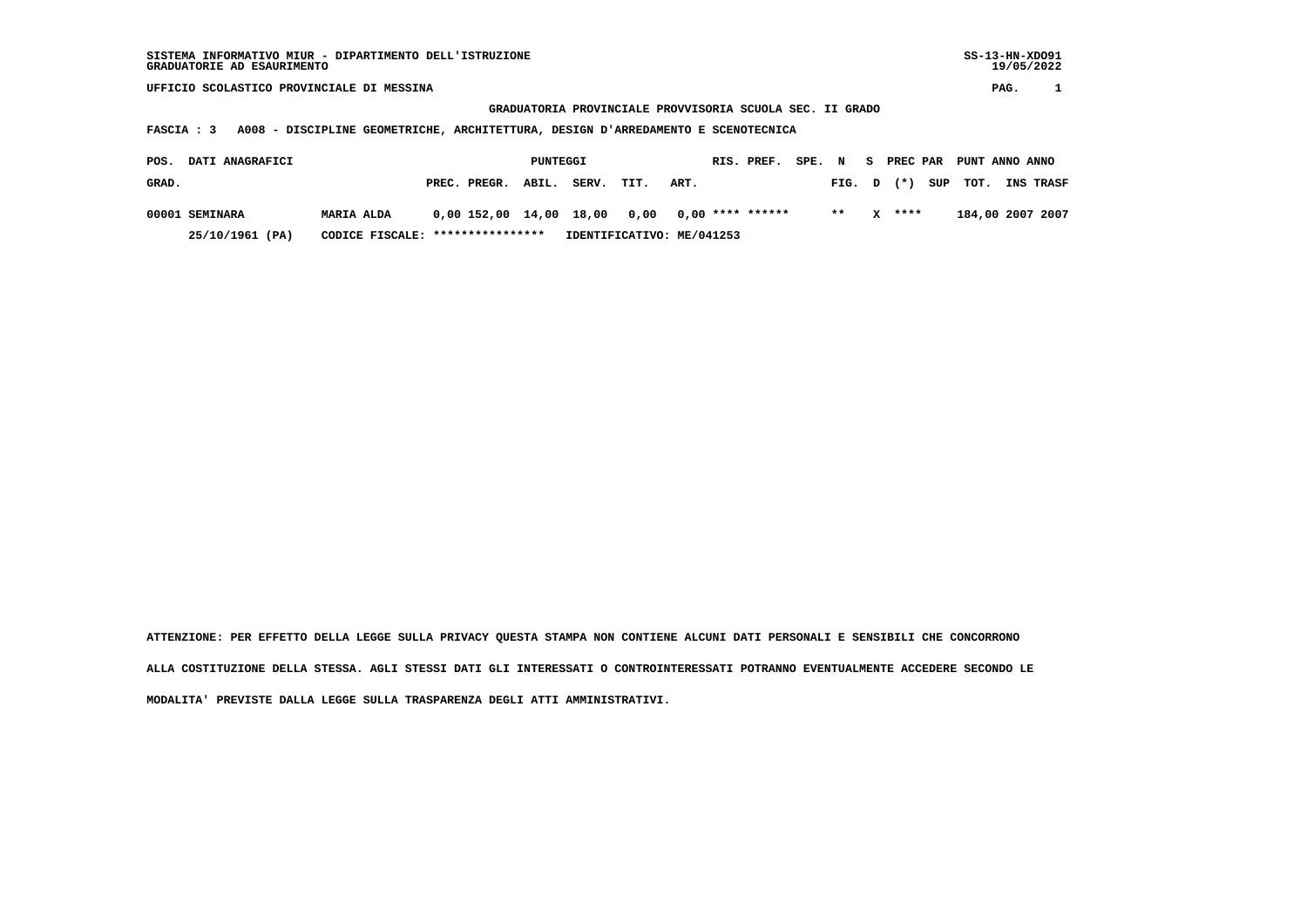**GRADUATORIA PROVINCIALE PROVVISORIA SCUOLA SEC. II GRADO**

 **FASCIA : 3 A008 - DISCIPLINE GEOMETRICHE, ARCHITETTURA, DESIGN D'ARREDAMENTO E SCENOTECNICA**

| POS.  | <b>DATI ANAGRAFICI</b> |                                  |                                                 | PUNTEGGI |                           |      |      | RIS. PREF. | SPE. N |       |          | S PREC PAR PUNT ANNO ANNO |                  |
|-------|------------------------|----------------------------------|-------------------------------------------------|----------|---------------------------|------|------|------------|--------|-------|----------|---------------------------|------------------|
| GRAD. |                        |                                  | PREC. PREGR. ABIL.                              |          | SERV.                     | TIT. | ART. |            |        |       |          | FIG. $D$ $(*)$ SUP TOT.   | <b>INS TRASF</b> |
|       | 00001 SEMINARA         | <b>MARIA ALDA</b>                | $0,00$ 152,00 14,00 18,00 0,00 0,00 **** ****** |          |                           |      |      |            |        | $***$ | $X$ **** |                           | 184,00 2007 2007 |
|       | 25/10/1961 (PA)        | CODICE FISCALE: **************** |                                                 |          | IDENTIFICATIVO: ME/041253 |      |      |            |        |       |          |                           |                  |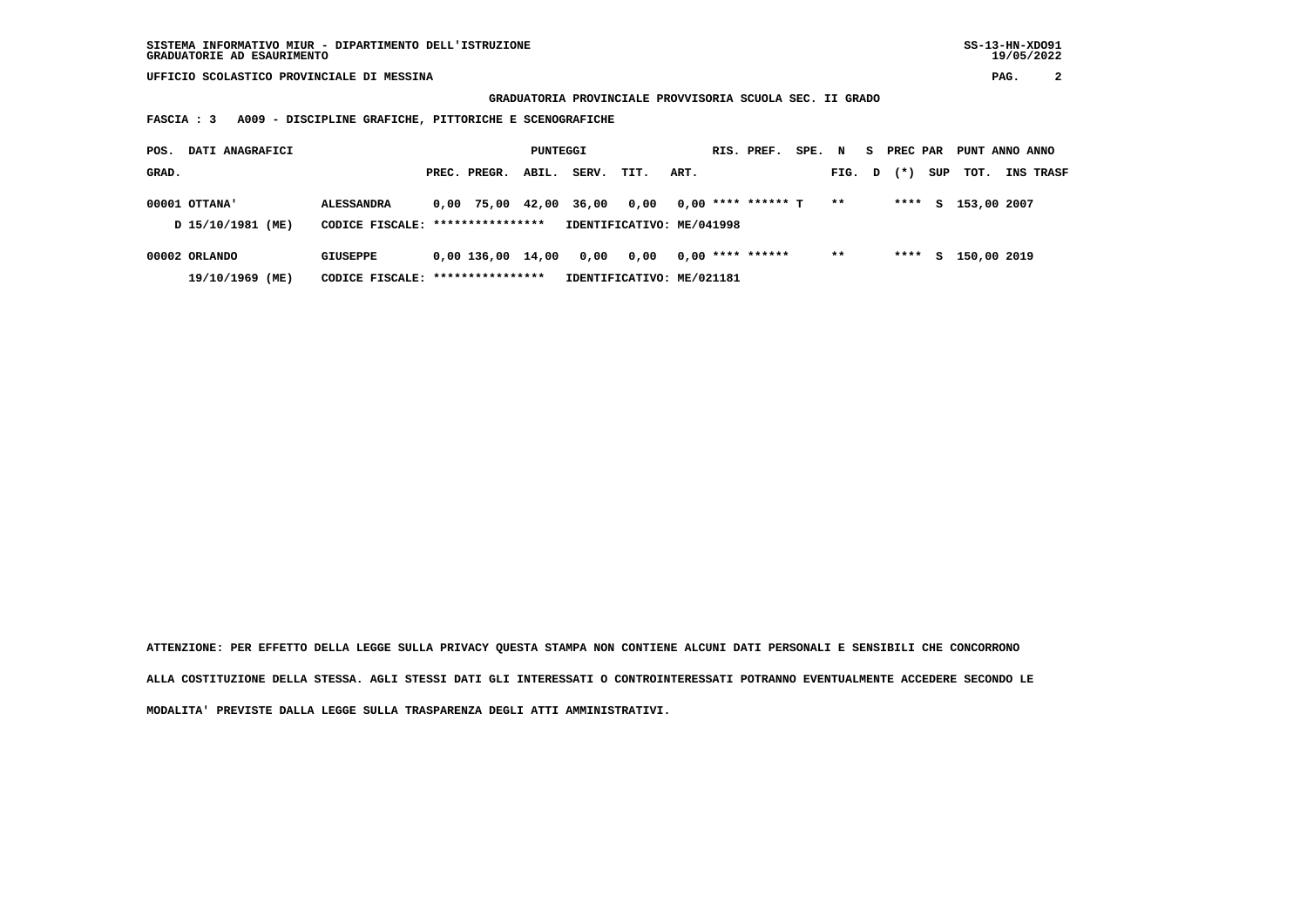**GRADUATORIA PROVINCIALE PROVVISORIA SCUOLA SEC. II GRADO**

 **FASCIA : 3 A009 - DISCIPLINE GRAFICHE, PITTORICHE E SCENOGRAFICHE**

| POS.  | DATI ANAGRAFICI                    |                                                       |                     | PUNTEGGI |       |                                   |      | RIS. PREF.           | SPE. N |              | S. | PREC PAR |     | PUNT ANNO ANNO |                  |
|-------|------------------------------------|-------------------------------------------------------|---------------------|----------|-------|-----------------------------------|------|----------------------|--------|--------------|----|----------|-----|----------------|------------------|
| GRAD. |                                    |                                                       | PREC. PREGR.        | ABIL.    | SERV. | TIT.                              | ART. |                      |        | FIG. D       |    | $(* )$   | SUP | тот.           | <b>INS TRASF</b> |
|       | 00001 OTTANA'<br>D 15/10/1981 (ME) | <b>ALESSANDRA</b><br>CODICE FISCALE: **************** | $0.00$ 75.00        | 42,00    | 36,00 | 0,00<br>IDENTIFICATIVO: ME/041998 |      | $0,00$ **** ****** T |        | $\star\star$ |    | ****     | s   | 153,00 2007    |                  |
|       | 00002 ORLANDO<br>19/10/1969 (ME)   | <b>GIUSEPPE</b><br>CODICE FISCALE: *****************  | $0,00$ 136,00 14,00 |          | 0,00  | 0,00<br>IDENTIFICATIVO: ME/021181 |      | $0.00$ **** ******   |        | $***$        |    | ****     | s   | 150,00 2019    |                  |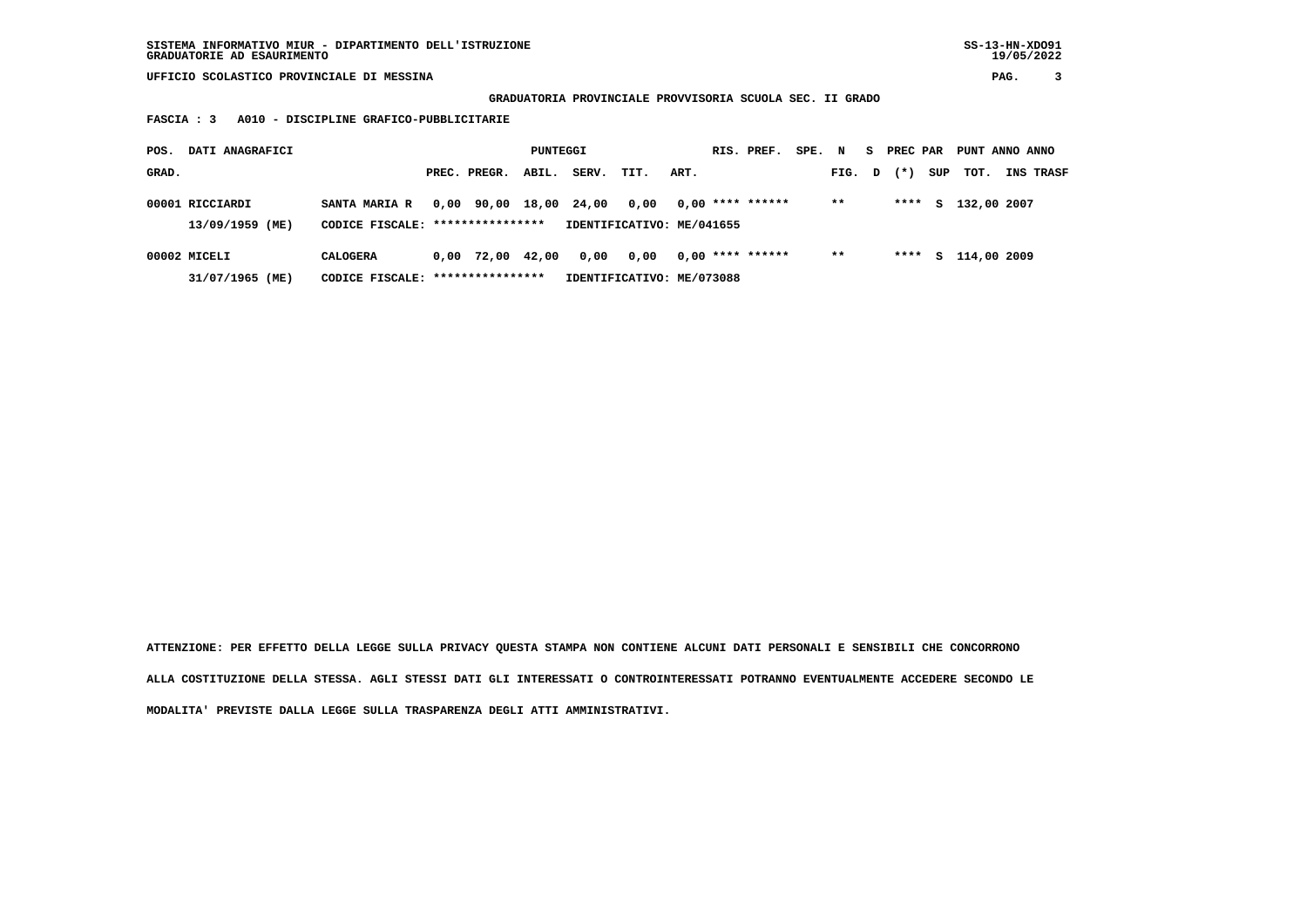**GRADUATORIA PROVINCIALE PROVVISORIA SCUOLA SEC. II GRADO**

 **FASCIA : 3 A010 - DISCIPLINE GRAFICO-PUBBLICITARIE**

| POS.  | DATI ANAGRAFICI                    |                                                          |      |                  | PUNTEGGI |       |                                   |      | RIS. PREF.         | SPE. N |        | S PREC PAR |     | PUNT ANNO ANNO |                  |
|-------|------------------------------------|----------------------------------------------------------|------|------------------|----------|-------|-----------------------------------|------|--------------------|--------|--------|------------|-----|----------------|------------------|
| GRAD. |                                    |                                                          |      | PREC. PREGR.     | ABIL.    | SERV. | TIT.                              | ART. |                    |        | FIG. D | $(* )$     | SUP | тот.           | <b>INS TRASF</b> |
|       | 00001 RICCIARDI<br>13/09/1959 (ME) | <b>SANTA MARIA R</b><br>CODICE FISCALE: **************** |      | 0,00 90,00 18,00 |          | 24,00 | 0,00<br>IDENTIFICATIVO: ME/041655 |      | $0,00$ **** ****** |        | $***$  | ****       | S.  | 132,00 2007    |                  |
|       |                                    |                                                          |      |                  |          |       |                                   |      |                    |        |        |            |     |                |                  |
|       | 00002 MICELI                       | <b>CALOGERA</b>                                          | 0.00 | 72,00 42,00      |          | 0,00  | 0.00                              |      | $0.00$ **** ****** |        | $* *$  | ****       | S.  | 114,00 2009    |                  |
|       | 31/07/1965 (ME)                    | CODICE FISCALE: *****************                        |      |                  |          |       | IDENTIFICATIVO: ME/073088         |      |                    |        |        |            |     |                |                  |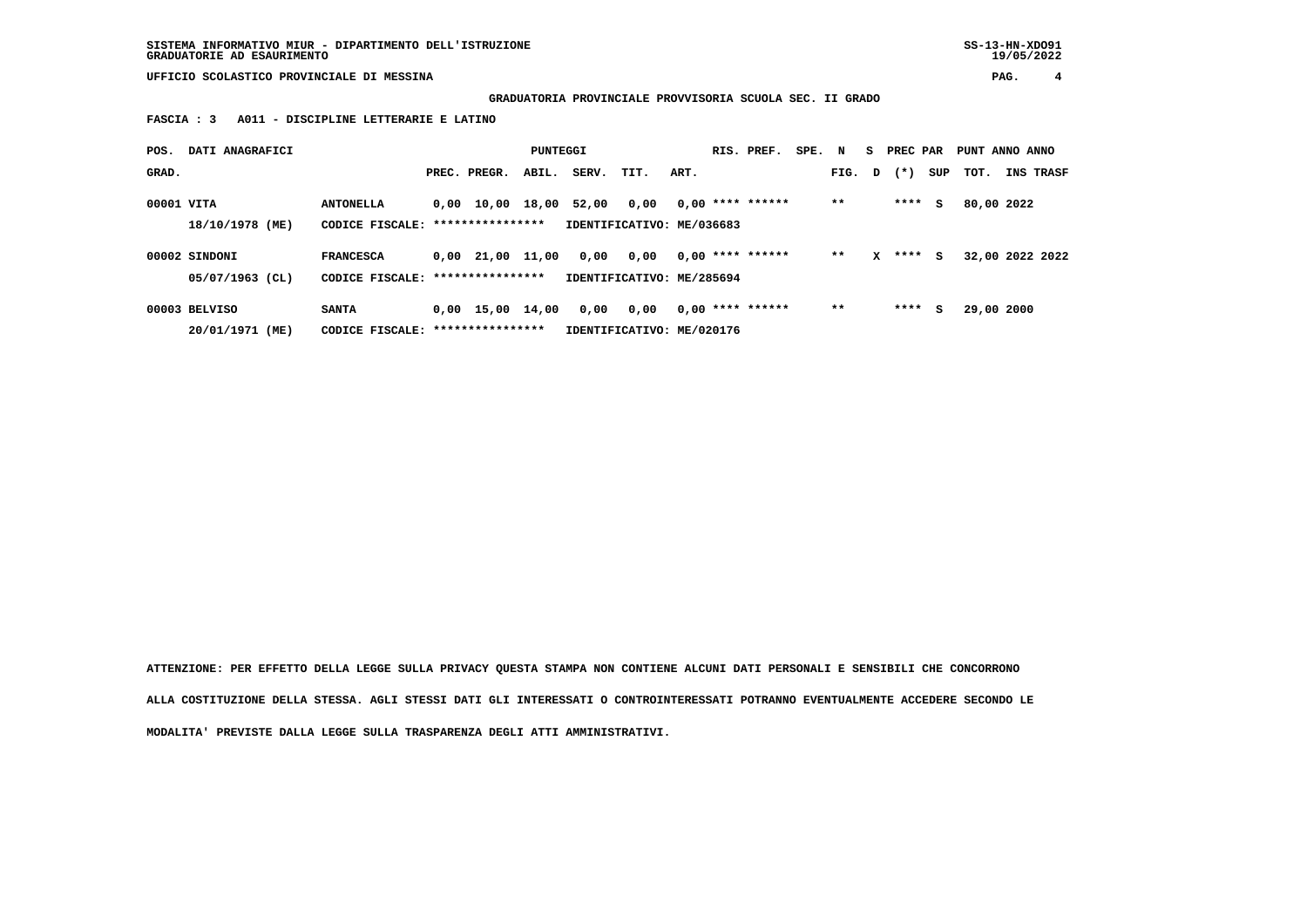**SISTEMA INFORMATIVO MIUR - DIPARTIMENTO DELL'ISTRUZIONE SS-13-HN-XDO91 GRADUATORIE AD ESAURIMENTO 19/05/2022**

 **UFFICIO SCOLASTICO PROVINCIALE DI MESSINA PAG. 4**

 **GRADUATORIA PROVINCIALE PROVVISORIA SCUOLA SEC. II GRADO**

 **FASCIA : 3 A011 - DISCIPLINE LETTERARIE E LATINO**

| POS.       | DATI ANAGRAFICI                  |                                     |                                            | PUNTEGGI |       |                                   |      | RIS. PREF.         | SPE. | N      |   | S PREC PAR |     | PUNT ANNO ANNO  |           |
|------------|----------------------------------|-------------------------------------|--------------------------------------------|----------|-------|-----------------------------------|------|--------------------|------|--------|---|------------|-----|-----------------|-----------|
| GRAD.      |                                  |                                     | PREC. PREGR.                               | ABIL.    | SERV. | TIT.                              | ART. |                    |      | FIG. D |   | $(*)$      | SUP | тот.            | INS TRASF |
| 00001 VITA | 18/10/1978 (ME)                  | <b>ANTONELLA</b><br>CODICE FISCALE: | 0,00 10,00 18,00<br>****************       |          | 52,00 | 0,00<br>IDENTIFICATIVO: ME/036683 |      | $0,00$ **** ****** |      | $***$  |   | ****       | s   | 80,00 2022      |           |
|            | 00002 SINDONI<br>05/07/1963 (CL) | <b>FRANCESCA</b><br>CODICE FISCALE: | $0.00$ $21.00$ $11.00$<br>**************** |          | 0,00  | 0,00<br>IDENTIFICATIVO: ME/285694 |      | $0.00$ **** ****** |      | **     | x | ****       | s   | 32,00 2022 2022 |           |
|            | 00003 BELVISO<br>20/01/1971 (ME) | <b>SANTA</b><br>CODICE FISCALE:     | $0,00$ 15,00 14,00<br>****************     |          | 0,00  | 0,00<br>IDENTIFICATIVO: ME/020176 |      | $0,00$ **** ****** |      | $* *$  |   | ****       | s   | 29,00 2000      |           |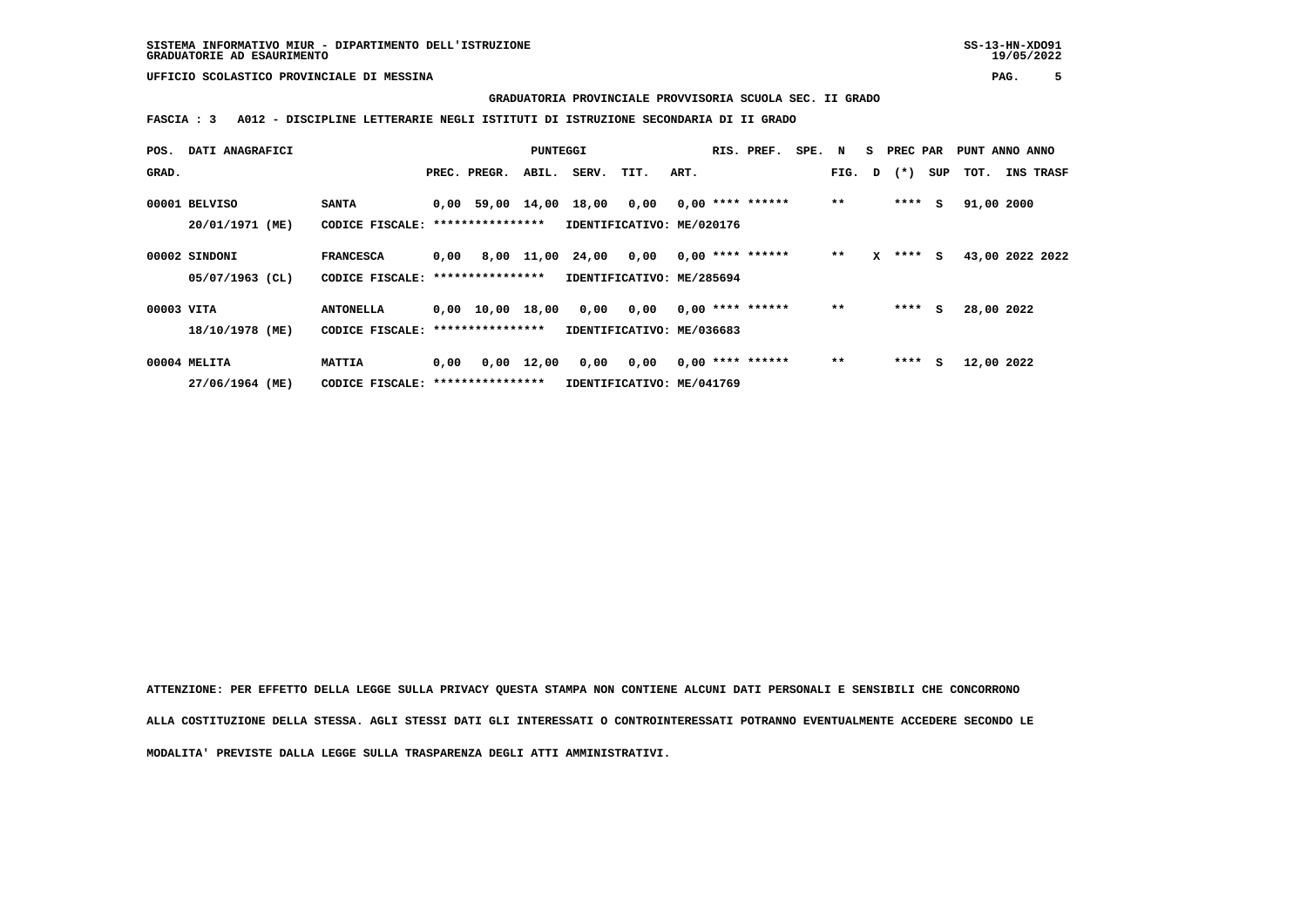**GRADUATORIA PROVINCIALE PROVVISORIA SCUOLA SEC. II GRADO**

 **FASCIA : 3 A012 - DISCIPLINE LETTERARIE NEGLI ISTITUTI DI ISTRUZIONE SECONDARIA DI II GRADO**

| POS.       | DATI ANAGRAFICI   |                                   |      |                                | PUNTEGGI   |                           |      |      | RIS. PREF.         | SPE. | N     | s | PREC PAR     |     | PUNT ANNO ANNO |                 |
|------------|-------------------|-----------------------------------|------|--------------------------------|------------|---------------------------|------|------|--------------------|------|-------|---|--------------|-----|----------------|-----------------|
| GRAD.      |                   |                                   |      | PREC. PREGR.                   | ABIL.      | SERV.                     | TIT. | ART. |                    |      |       |   | FIG. D $(*)$ | SUP | тот.           | INS TRASF       |
|            | 00001 BELVISO     | <b>SANTA</b>                      |      | 0,00 59,00 14,00               |            | 18,00                     | 0,00 |      | $0,00$ **** ****** |      | $* *$ |   | ****         | s   | 91,00 2000     |                 |
|            | 20/01/1971 (ME)   | CODICE FISCALE:                   |      | ****************               |            | IDENTIFICATIVO: ME/020176 |      |      |                    |      |       |   |              |     |                |                 |
|            | 00002 SINDONI     | <b>FRANCESCA</b>                  | 0,00 |                                | 8,00 11,00 | 24,00 0,00                |      |      | $0,00$ **** ****** |      | $***$ | x | ****         | s   |                | 43,00 2022 2022 |
|            | $05/07/1963$ (CL) | CODICE FISCALE: ****************  |      |                                |            | IDENTIFICATIVO: ME/285694 |      |      |                    |      |       |   |              |     |                |                 |
| 00003 VITA |                   | <b>ANTONELLA</b>                  |      | $0,00 \quad 10,00 \quad 18,00$ |            | 0,00                      | 0,00 |      | $0.00$ **** ****** |      | $**$  |   | ****         | s   | 28,00 2022     |                 |
|            | 18/10/1978 (ME)   | CODICE FISCALE: ****************  |      |                                |            | IDENTIFICATIVO: ME/036683 |      |      |                    |      |       |   |              |     |                |                 |
|            | 00004 MELITA      | <b>MATTIA</b>                     | 0,00 |                                | 0,00 12,00 | 0,00                      | 0,00 |      | $0,00$ **** ****** |      | $* *$ |   | ****         | s   | 12,00 2022     |                 |
|            | 27/06/1964 (ME)   | CODICE FISCALE: ***************** |      |                                |            | IDENTIFICATIVO: ME/041769 |      |      |                    |      |       |   |              |     |                |                 |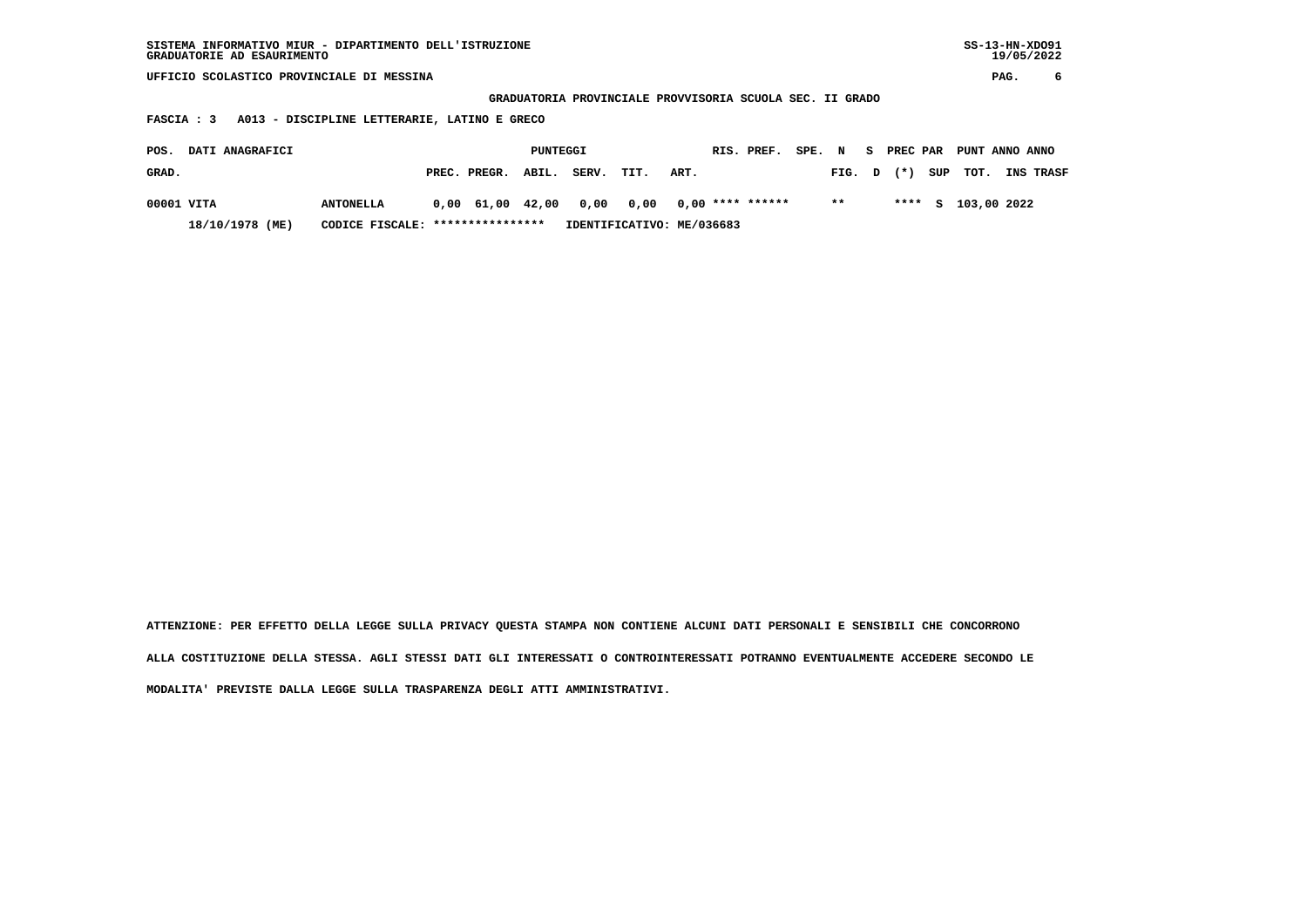| SISTEMA INFORMATIVO MIUR - DIPARTIMENTO DELL'ISTRUZIONE | SS-13-HN-XD091 |
|---------------------------------------------------------|----------------|
| GRADUATORIE AD ESAURIMENTO                              | 19/05/2022     |

 **GRADUATORIA PROVINCIALE PROVVISORIA SCUOLA SEC. II GRADO**

 **FASCIA : 3 A013 - DISCIPLINE LETTERARIE, LATINO E GRECO**

| POS.       | <b>DATI ANAGRAFICI</b> |                                  |                                               | PUNTEGGI |                           |      |      | RIS. PREF. | SPE. N |        |  | S PREC PAR PUNT ANNO ANNO |                  |
|------------|------------------------|----------------------------------|-----------------------------------------------|----------|---------------------------|------|------|------------|--------|--------|--|---------------------------|------------------|
| GRAD.      |                        |                                  | PREC. PREGR. ABIL.                            |          | SERV.                     | TIT. | ART. |            |        | FIG. D |  | $(*)$ SUP TOT.            | <b>INS TRASF</b> |
| 00001 VITA |                        | <b>ANTONELLA</b>                 | $0.00$ 61.00 42.00 0.00 0.00 0.00 **** ****** |          |                           |      |      |            |        | $* *$  |  | **** S 103,00 2022        |                  |
|            | 18/10/1978 (ME)        | CODICE FISCALE: **************** |                                               |          | IDENTIFICATIVO: ME/036683 |      |      |            |        |        |  |                           |                  |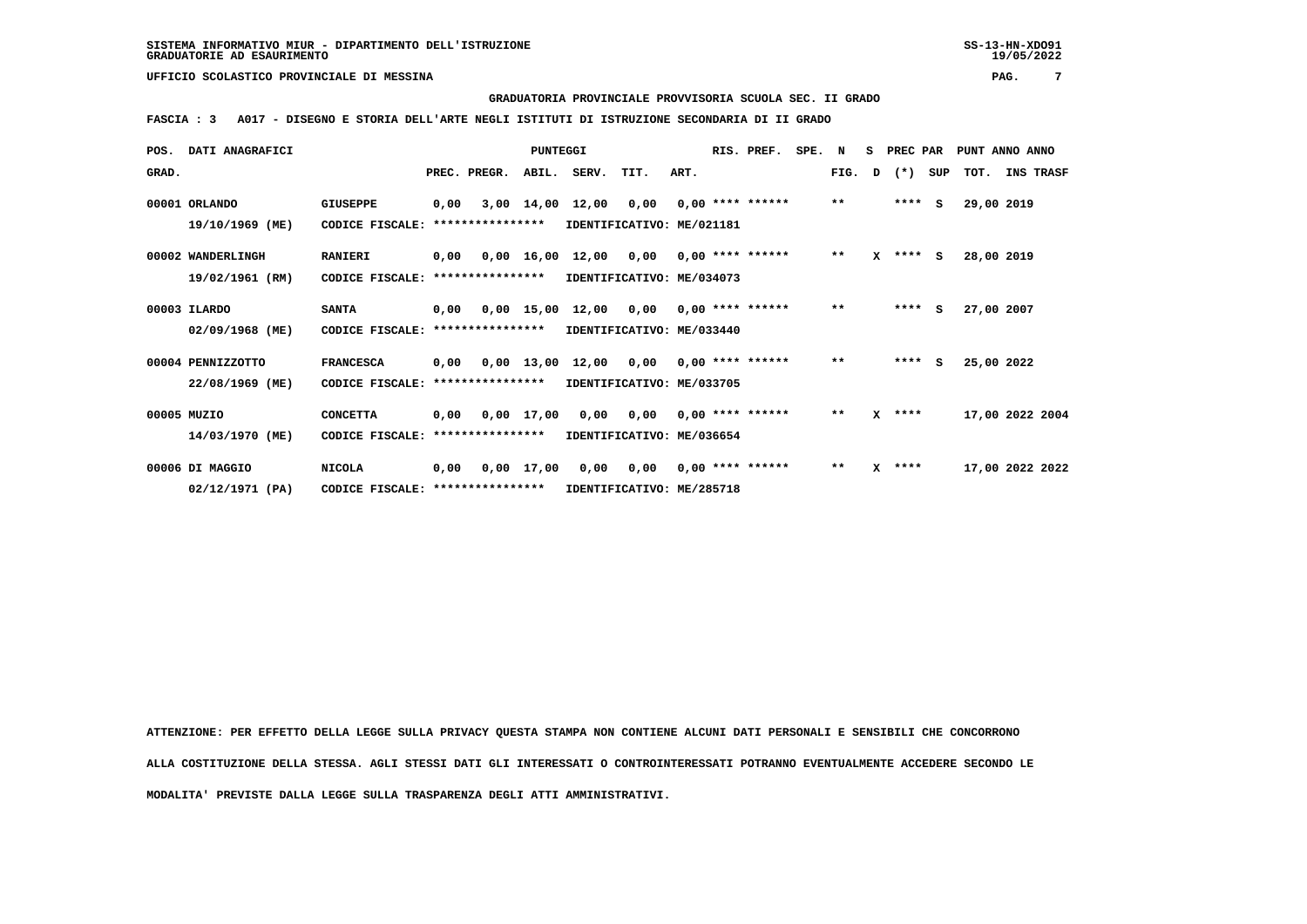#### **GRADUATORIA PROVINCIALE PROVVISORIA SCUOLA SEC. II GRADO**

 **FASCIA : 3 A017 - DISEGNO E STORIA DELL'ARTE NEGLI ISTITUTI DI ISTRUZIONE SECONDARIA DI II GRADO**

| POS.  | <b>DATI ANAGRAFICI</b> |                                  |      |                  | <b>PUNTEGGI</b> |                                           |                           |      | RIS. PREF.         | SPE. | N            | s | PREC PAR   |     | PUNT ANNO ANNO  |           |  |
|-------|------------------------|----------------------------------|------|------------------|-----------------|-------------------------------------------|---------------------------|------|--------------------|------|--------------|---|------------|-----|-----------------|-----------|--|
| GRAD. |                        |                                  |      | PREC. PREGR.     | ABIL.           | SERV.                                     | TIT.                      | ART. |                    |      | FIG.         | D | $(*)$      | SUP | тот.            | INS TRASF |  |
|       | 00001 ORLANDO          | GIUSEPPE                         | 0,00 |                  | 3,00 14,00      | 12,00                                     | 0,00                      |      | $0,00$ **** ****** |      | $***$        |   | ****       | s   | 29,00 2019      |           |  |
|       | 19/10/1969 (ME)        | CODICE FISCALE:                  |      | **************** |                 |                                           | IDENTIFICATIVO: ME/021181 |      |                    |      |              |   |            |     |                 |           |  |
|       | 00002 WANDERLINGH      | <b>RANIERI</b>                   | 0,00 |                  |                 | $0.00 \quad 16.00 \quad 12.00 \quad 0.00$ |                           |      | $0.00$ **** ****** |      | $\star\star$ |   | $X$ **** S |     | 28,00 2019      |           |  |
|       | 19/02/1961 (RM)        | CODICE FISCALE:                  |      | **************** |                 |                                           | IDENTIFICATIVO: ME/034073 |      |                    |      |              |   |            |     |                 |           |  |
|       | 00003 ILARDO           | <b>SANTA</b>                     | 0,00 |                  |                 | 0,00 15,00 12,00                          | 0,00                      |      | $0,00$ **** ****** |      | $\star\star$ |   | $***$ S    |     | 27,00 2007      |           |  |
|       | 02/09/1968 (ME)        | CODICE FISCALE: **************** |      |                  |                 |                                           | IDENTIFICATIVO: ME/033440 |      |                    |      |              |   |            |     |                 |           |  |
|       | 00004 PENNIZZOTTO      | <b>FRANCESCA</b>                 | 0,00 |                  |                 | $0,00$ 13,00 12,00 0,00                   |                           |      | $0.00$ **** ****** |      | $***$        |   | $***$ S    |     | 25,00 2022      |           |  |
|       | 22/08/1969 (ME)        | CODICE FISCALE:                  |      | **************** |                 |                                           | IDENTIFICATIVO: ME/033705 |      |                    |      |              |   |            |     |                 |           |  |
|       | 00005 MUZIO            | <b>CONCETTA</b>                  | 0,00 |                  | 0,00 17,00      |                                           | 0,00 0,00                 |      | $0.00$ **** ****** |      | $\star\star$ |   | $X$ ****   |     | 17,00 2022 2004 |           |  |
|       | 14/03/1970 (ME)        | CODICE FISCALE:                  |      | **************** |                 |                                           | IDENTIFICATIVO: ME/036654 |      |                    |      |              |   |            |     |                 |           |  |
|       | 00006 DI MAGGIO        | <b>NICOLA</b>                    | 0,00 |                  | 0,00 17,00      | 0,00                                      | 0,00                      |      | $0.00$ **** ****** |      | $* *$        |   | $X$ ****   |     | 17,00 2022 2022 |           |  |
|       | 02/12/1971 (PA)        | CODICE FISCALE: **************** |      |                  |                 |                                           | IDENTIFICATIVO: ME/285718 |      |                    |      |              |   |            |     |                 |           |  |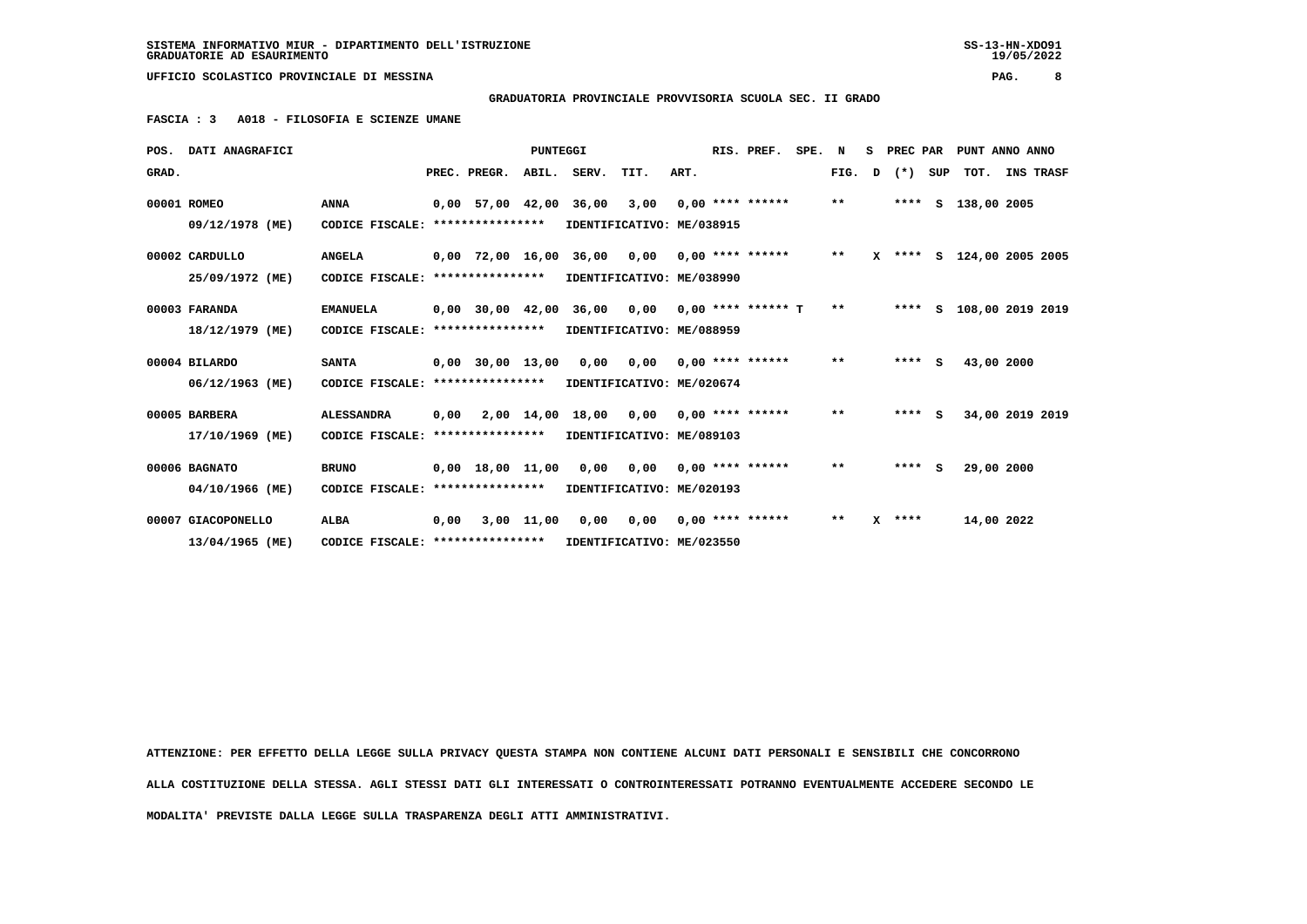**SISTEMA INFORMATIVO MIUR - DIPARTIMENTO DELL'ISTRUZIONE SS-13-HN-XDO91 GRADUATORIE AD ESAURIMENTO 19/05/2022**

 **UFFICIO SCOLASTICO PROVINCIALE DI MESSINA PAG. 8**

 **GRADUATORIA PROVINCIALE PROVVISORIA SCUOLA SEC. II GRADO**

 **FASCIA : 3 A018 - FILOSOFIA E SCIENZE UMANE**

|       | POS. DATI ANAGRAFICI |                                                            |      |              | PUNTEGGI |                              |                           |      | RIS. PREF.           | SPE. N |        |   | S PREC PAR |     |                    | PUNT ANNO ANNO            |
|-------|----------------------|------------------------------------------------------------|------|--------------|----------|------------------------------|---------------------------|------|----------------------|--------|--------|---|------------|-----|--------------------|---------------------------|
| GRAD. |                      |                                                            |      | PREC. PREGR. |          | ABIL. SERV.                  | TIT.                      | ART. |                      |        | FIG. D |   | $(*)$      | SUP |                    | TOT. INS TRASF            |
|       | 00001 ROMEO          | <b>ANNA</b>                                                |      |              |          | 0,00 57,00 42,00 36,00 3,00  |                           |      | $0.00$ **** ******   |        | $* *$  |   |            |     | **** S 138,00 2005 |                           |
|       | 09/12/1978 (ME)      | CODICE FISCALE: ****************                           |      |              |          | IDENTIFICATIVO: ME/038915    |                           |      |                      |        |        |   |            |     |                    |                           |
|       | 00002 CARDULLO       | <b>ANGELA</b>                                              |      |              |          | 0,00 72,00 16,00 36,00 0,00  |                           |      | $0.00$ **** ******   |        | $***$  |   |            |     |                    | X **** S 124,00 2005 2005 |
|       | 25/09/1972 (ME)      | CODICE FISCALE: ****************                           |      |              |          | IDENTIFICATIVO: ME/038990    |                           |      |                      |        |        |   |            |     |                    |                           |
|       | 00003 FARANDA        | <b>EMANUELA</b>                                            |      |              |          | 0,00 30,00 42,00 36,00 0,00  |                           |      | $0.00$ **** ****** T |        | $* *$  |   | $***$ S    |     |                    | 108,00 2019 2019          |
|       | 18/12/1979 (ME)      | CODICE FISCALE: ****************                           |      |              |          |                              | IDENTIFICATIVO: ME/088959 |      |                      |        |        |   |            |     |                    |                           |
|       | 00004 BILARDO        | <b>SANTA</b>                                               |      |              |          | 0,00 30,00 13,00 0,00 0,00   |                           |      | $0.00$ **** ******   |        | $***$  |   | $***$ S    |     | 43,00 2000         |                           |
|       | 06/12/1963 (ME)      | CODICE FISCALE: ****************                           |      |              |          |                              | IDENTIFICATIVO: ME/020674 |      |                      |        |        |   |            |     |                    |                           |
|       | 00005 BARBERA        | <b>ALESSANDRA</b>                                          | 0,00 |              |          | 2,00 14,00 18,00 0,00        |                           |      | $0.00$ **** ******   |        | $***$  |   | $***$ S    |     |                    | 34,00 2019 2019           |
|       | 17/10/1969 (ME)      | CODICE FISCALE: *****************                          |      |              |          |                              | IDENTIFICATIVO: ME/089103 |      |                      |        |        |   |            |     |                    |                           |
|       | 00006 BAGNATO        | <b>BRUNO</b>                                               |      |              |          | $0,00$ 18,00 11,00 0,00 0,00 |                           |      | $0.00$ **** ******   |        | $***$  |   | $***5$     |     | 29,00 2000         |                           |
|       | 04/10/1966 (ME)      | CODICE FISCALE: ****************                           |      |              |          | IDENTIFICATIVO: ME/020193    |                           |      |                      |        |        |   |            |     |                    |                           |
|       | 00007 GIACOPONELLO   | <b>ALBA</b>                                                | 0,00 |              |          | 3,00 11,00 0,00 0,00         |                           |      | $0.00$ **** ******   |        | $***$  | x | ****       |     | 14,00 2022         |                           |
|       | 13/04/1965 (ME)      | CODICE FISCALE: **************** IDENTIFICATIVO: ME/023550 |      |              |          |                              |                           |      |                      |        |        |   |            |     |                    |                           |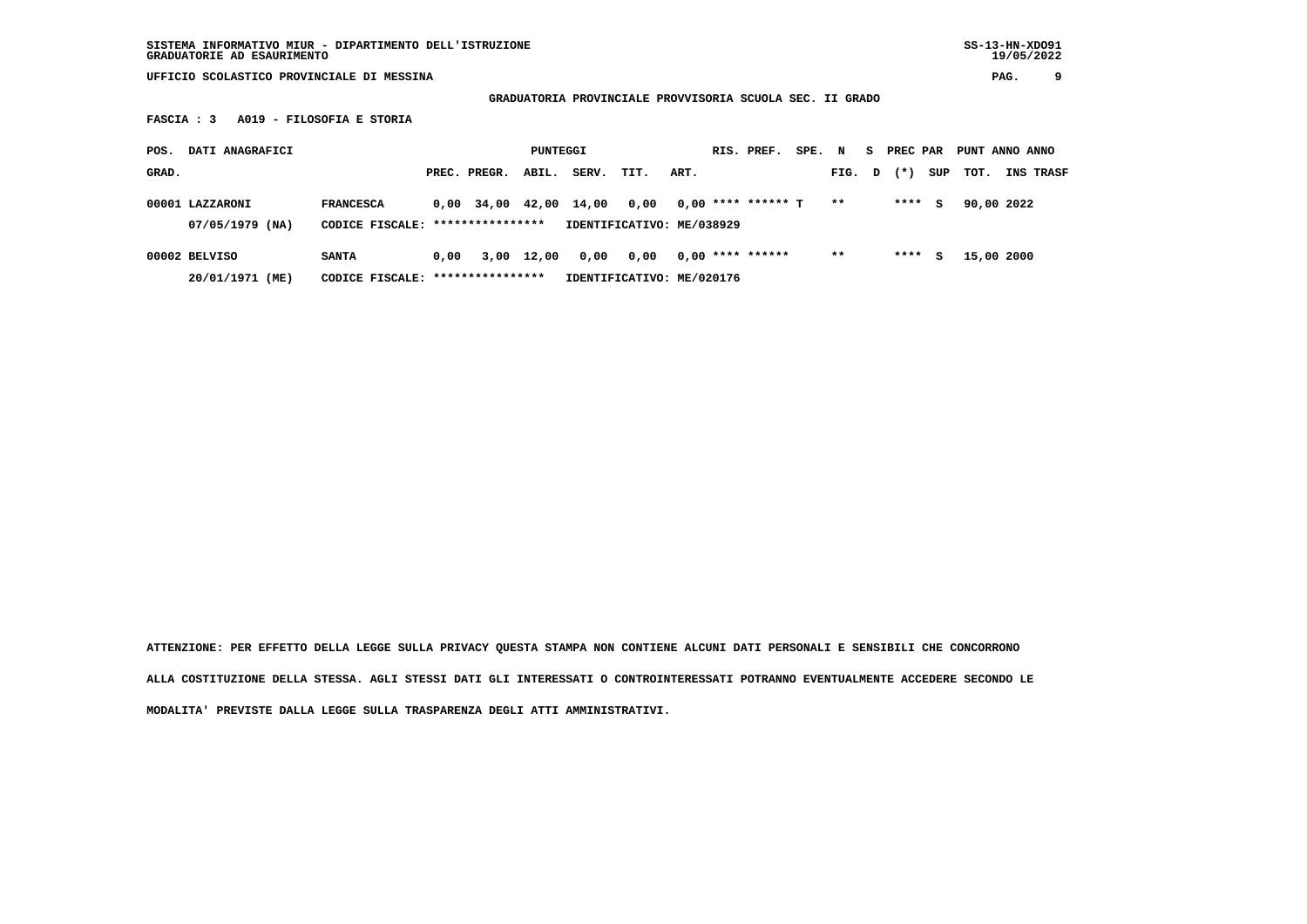**GRADUATORIA PROVINCIALE PROVVISORIA SCUOLA SEC. II GRADO**

 **FASCIA : 3 A019 - FILOSOFIA E STORIA**

| POS.  | DATI ANAGRAFICI                    |                                                      |      |              | PUNTEGGI   |       |                                   |      | RIS. PREF.         | SPE. N |        | s. | PREC PAR |     | PUNT ANNO ANNO |                  |
|-------|------------------------------------|------------------------------------------------------|------|--------------|------------|-------|-----------------------------------|------|--------------------|--------|--------|----|----------|-----|----------------|------------------|
| GRAD. |                                    |                                                      |      | PREC. PREGR. | ABIL.      | SERV. | TIT.                              | ART. |                    |        | FIG. D |    | $(* )$   | SUP | тот.           | <b>INS TRASF</b> |
|       | 00001 LAZZARONI<br>07/05/1979 (NA) | <b>FRANCESCA</b><br>CODICE FISCALE: **************** |      | $0.00$ 34.00 | 42,00      | 14,00 | 0.00<br>IDENTIFICATIVO: ME/038929 |      | 0,00 **** ****** T |        | $* *$  |    | ****     | s   | 90,00 2022     |                  |
|       | 00002 BELVISO<br>20/01/1971 (ME)   | <b>SANTA</b><br>CODICE FISCALE: *****************    | 0.00 |              | 3,00 12,00 | 0,00  | 0.00<br>IDENTIFICATIVO: ME/020176 |      | $0,00$ **** ****** |        | $* *$  |    | ****     | s   | 15,00 2000     |                  |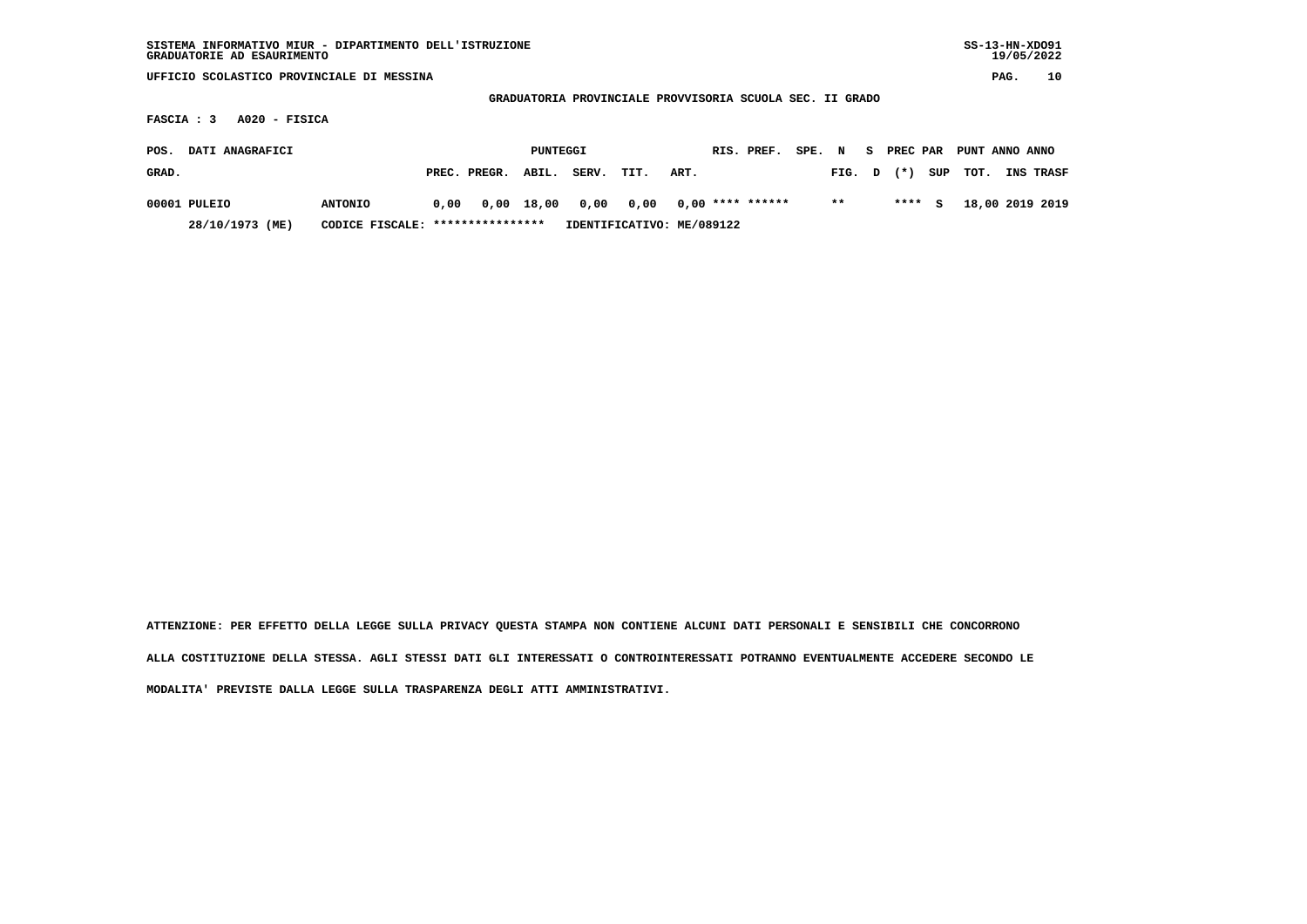| SISTEMA INFORMATIVO MIUR - DIPARTIMENTO DELL'ISTRUZIONE<br>GRADUATORIE AD ESAURIMENTO |                 |      |                  |              |       |                                                          |      |                    |        |       |    |          |     | $SS-13-HN-XDO91$ | 19/05/2022 |           |
|---------------------------------------------------------------------------------------|-----------------|------|------------------|--------------|-------|----------------------------------------------------------|------|--------------------|--------|-------|----|----------|-----|------------------|------------|-----------|
| UFFICIO SCOLASTICO PROVINCIALE DI MESSINA                                             |                 |      |                  |              |       |                                                          |      |                    |        |       |    |          |     |                  | PAG.       | 10        |
|                                                                                       |                 |      |                  |              |       | GRADUATORIA PROVINCIALE PROVVISORIA SCUOLA SEC. II GRADO |      |                    |        |       |    |          |     |                  |            |           |
| $A020 - FISICA$<br>FASCIA : 3                                                         |                 |      |                  |              |       |                                                          |      |                    |        |       |    |          |     |                  |            |           |
| DATI ANAGRAFICI<br>POS.                                                               |                 |      |                  | PUNTEGGI     |       |                                                          |      | RIS. PREF.         | SPE. N |       | S. | PREC PAR |     | PUNT ANNO ANNO   |            |           |
| GRAD.                                                                                 |                 |      | PREC. PREGR.     | ABIL.        | SERV. | TIT.                                                     | ART. |                    |        | FIG.  | D  | $(* )$   | SUP | TOT.             |            | INS TRASF |
| 00001 PULEIO                                                                          | <b>ANTONIO</b>  | 0.00 |                  | $0,00$ 18,00 | 0,00  | 0,00                                                     |      | $0.00$ **** ****** |        | $***$ |    | ****     | s   | 18,00 2019 2019  |            |           |
| 28/10/1973 (ME)                                                                       | CODICE FISCALE: |      | **************** |              |       | IDENTIFICATIVO: ME/089122                                |      |                    |        |       |    |          |     |                  |            |           |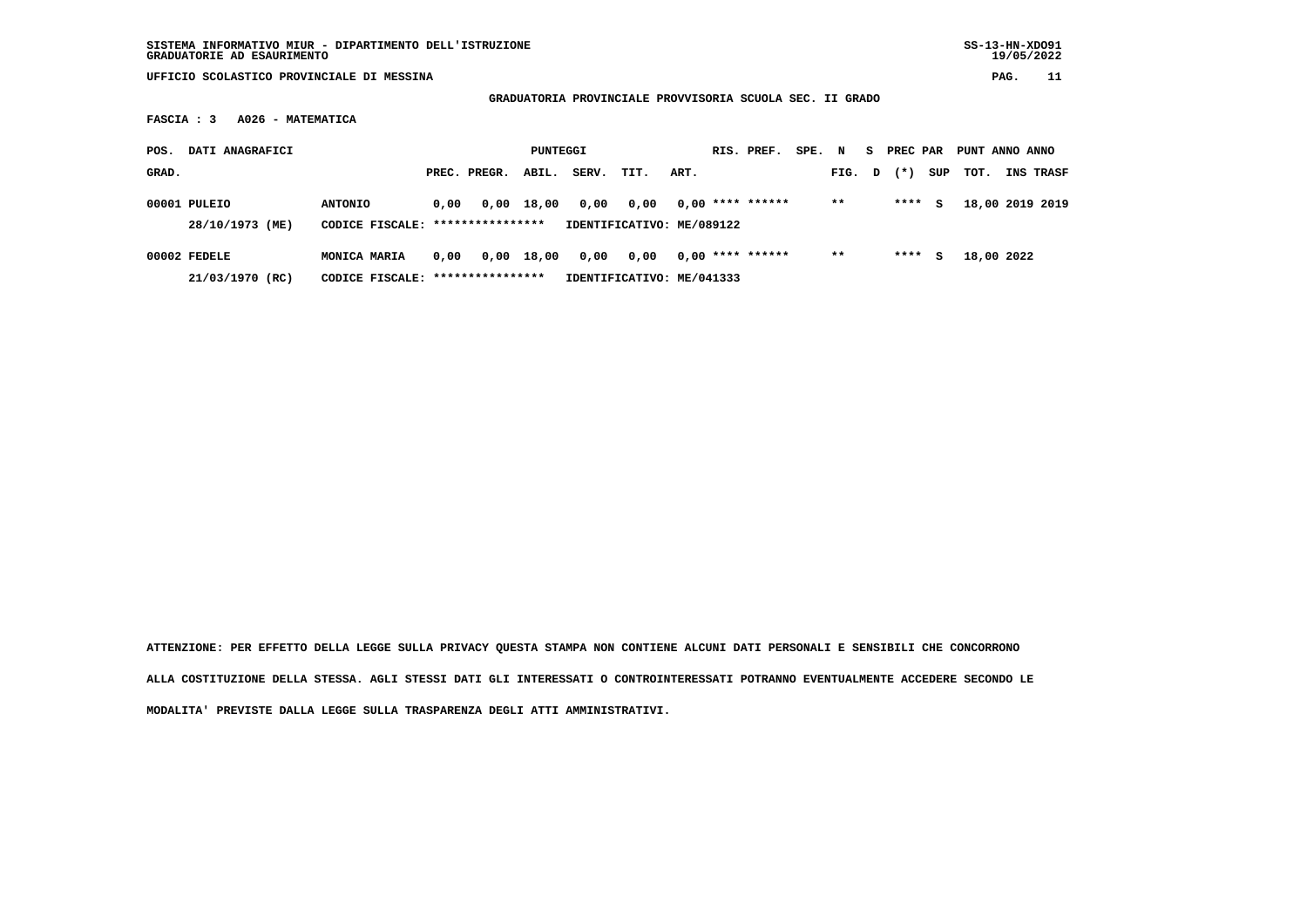| SISTEMA INFORMATIVO MIUR - DIPARTIMENTO DELL'ISTRUZIONE | $SS-13-HN-XDO91$ |
|---------------------------------------------------------|------------------|
| GRADUATORIE AD ESAURIMENTO                              | 19/05/2022       |

 **GRADUATORIA PROVINCIALE PROVVISORIA SCUOLA SEC. II GRADO**

 **FASCIA : 3 A026 - MATEMATICA**

| POS.  | DATI ANAGRAFICI                 |                                                    |      |              | PUNTEGGI   |       |                                   |      | RIS. PREF.         | SPE. N |        | S. | PREC PAR |     | PUNT ANNO ANNO |                  |
|-------|---------------------------------|----------------------------------------------------|------|--------------|------------|-------|-----------------------------------|------|--------------------|--------|--------|----|----------|-----|----------------|------------------|
| GRAD. |                                 |                                                    |      | PREC. PREGR. | ABIL.      | SERV. | TIT.                              | ART. |                    |        | FIG. D |    | $(*)$    | SUP | TOT.           | <b>INS TRASF</b> |
|       | 00001 PULEIO<br>28/10/1973 (ME) | <b>ANTONIO</b><br>CODICE FISCALE: **************** | 0.00 |              | 0,00 18,00 | 0,00  | 0.00<br>IDENTIFICATIVO: ME/089122 |      | $0,00$ **** ****** |        | $***$  |    | ****     | s   |                | 18,00 2019 2019  |
|       |                                 |                                                    |      |              |            |       |                                   |      |                    |        |        |    |          |     |                |                  |
|       | 00002 FEDELE<br>21/03/1970 (RC) | MONICA MARIA<br>CODICE FISCALE: ****************   | 0.00 |              | 0,00 18,00 | 0,00  | 0.00<br>IDENTIFICATIVO: ME/041333 |      | $0.00$ **** ****** |        | $***$  |    | ****     | s   | 18,00 2022     |                  |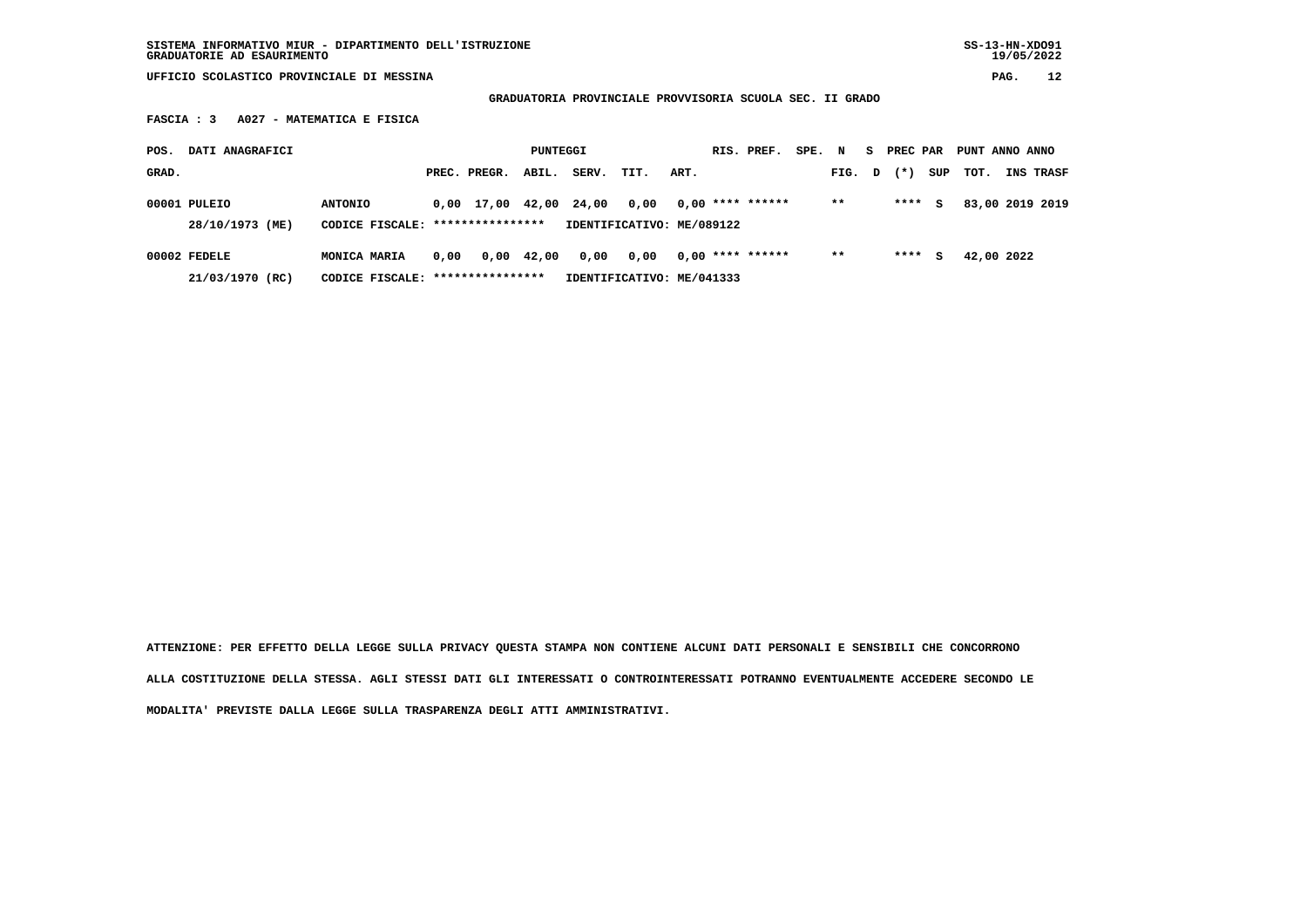**SISTEMA INFORMATIVO MIUR - DIPARTIMENTO DELL'ISTRUZIONE SS-13-HN-XDO91 GRADUATORIE AD ESAURIMENTO 19/05/2022**

 **UFFICIO SCOLASTICO PROVINCIALE DI MESSINA PAG. 12**

 **GRADUATORIA PROVINCIALE PROVVISORIA SCUOLA SEC. II GRADO**

 **FASCIA : 3 A027 - MATEMATICA E FISICA**

| POS.  | DATI ANAGRAFICI |                                  |      |                        | PUNTEGGI   |       |                           |      | RIS. PREF.         | SPE. N |        | S. | PREC PAR |     | PUNT ANNO ANNO |                  |
|-------|-----------------|----------------------------------|------|------------------------|------------|-------|---------------------------|------|--------------------|--------|--------|----|----------|-----|----------------|------------------|
| GRAD. |                 |                                  |      | PREC. PREGR.           | ABIL.      | SERV. | TIT.                      | ART. |                    |        | FIG. D |    | $(* )$   | SUP | TOT.           | <b>INS TRASF</b> |
|       | 00001 PULEIO    | <b>ANTONIO</b>                   |      | 0,00 17,00 42,00 24,00 |            |       | 0,00                      |      | $0,00$ **** ****** |        | $***$  |    | ****     | s   |                | 83,00 2019 2019  |
|       | 28/10/1973 (ME) | CODICE FISCALE: **************** |      |                        |            |       | IDENTIFICATIVO: ME/089122 |      |                    |        |        |    |          |     |                |                  |
|       | 00002 FEDELE    | MONICA MARIA                     | 0.00 |                        | 0,00 42,00 | 0,00  | 0.00                      |      | $0.00$ **** ****** |        | $***$  |    | ****     | s   | 42,00 2022     |                  |
|       | 21/03/1970 (RC) | CODICE FISCALE: **************** |      |                        |            |       | IDENTIFICATIVO: ME/041333 |      |                    |        |        |    |          |     |                |                  |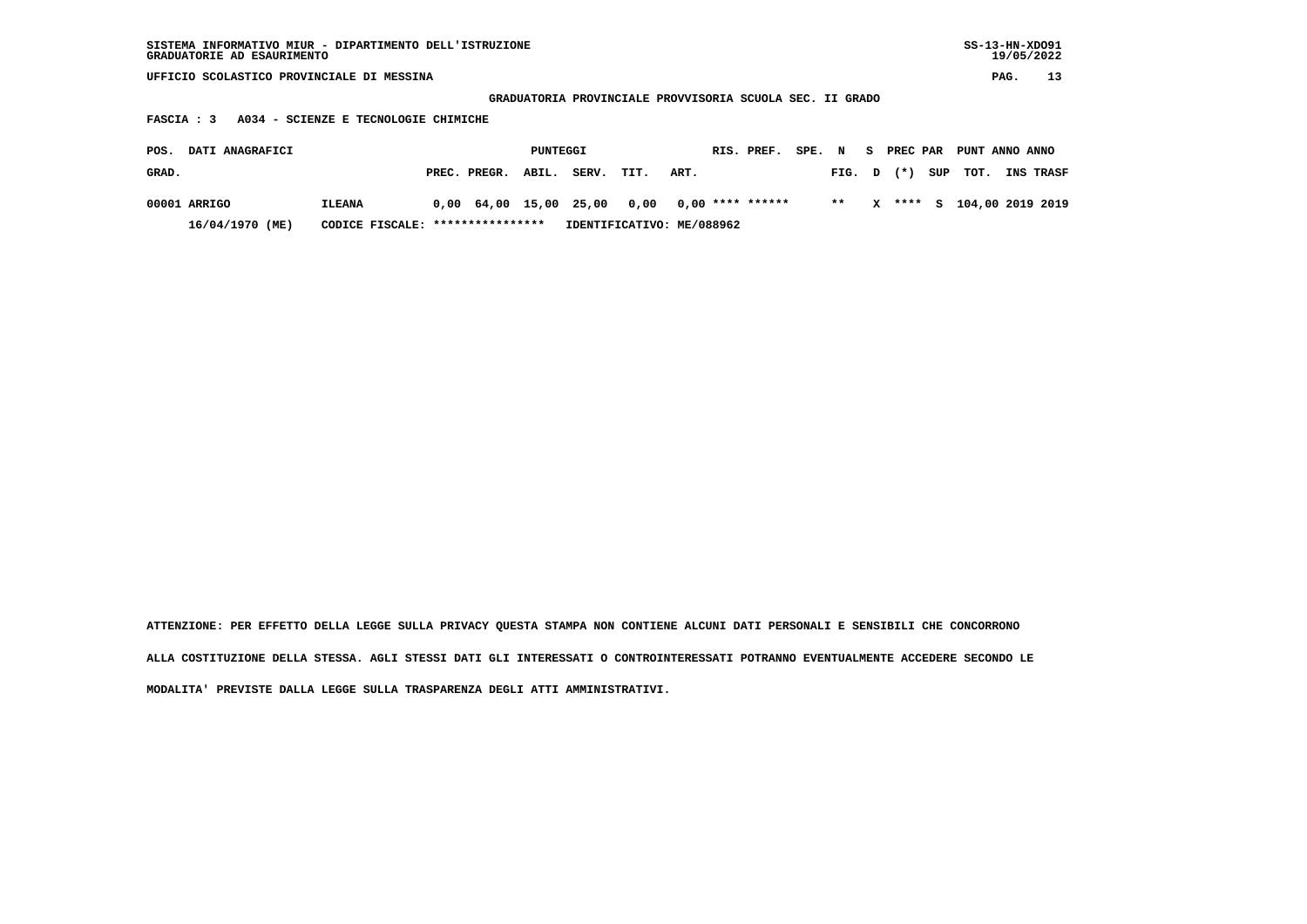| SISTEMA INFORMATIVO MIUR - DIPARTIMENTO DELL'ISTRUZIONE | SS-13-HN-XD091 |
|---------------------------------------------------------|----------------|
| GRADUATORIE AD ESAURIMENTO                              | 19/05/2022     |

 **GRADUATORIA PROVINCIALE PROVVISORIA SCUOLA SEC. II GRADO**

 **FASCIA : 3 A034 - SCIENZE E TECNOLOGIE CHIMICHE**

| POS.  | <b>DATI ANAGRAFICI</b> |                                  |                    | PUNTEGGI |                                                |                           |      | RIS. PREF. | SPE. | $\mathbf N$  | - S | <b>PREC PAR</b> | PUNT ANNO ANNO |                           |
|-------|------------------------|----------------------------------|--------------------|----------|------------------------------------------------|---------------------------|------|------------|------|--------------|-----|-----------------|----------------|---------------------------|
| GRAD. |                        |                                  | PREC. PREGR. ABIL. |          | SERV.                                          | TIT.                      | ART. |            |      | $FIG. D (*)$ |     |                 | SUP TOT.       | <b>INS TRASF</b>          |
|       | 00001 ARRIGO           | <b>ILEANA</b>                    |                    |          | $0,00$ 64,00 15,00 25,00 0,00 0,00 **** ****** |                           |      |            |      | $* *$        |     |                 |                | X **** S 104,00 2019 2019 |
|       | 16/04/1970 (ME)        | CODICE FISCALE: **************** |                    |          |                                                | IDENTIFICATIVO: ME/088962 |      |            |      |              |     |                 |                |                           |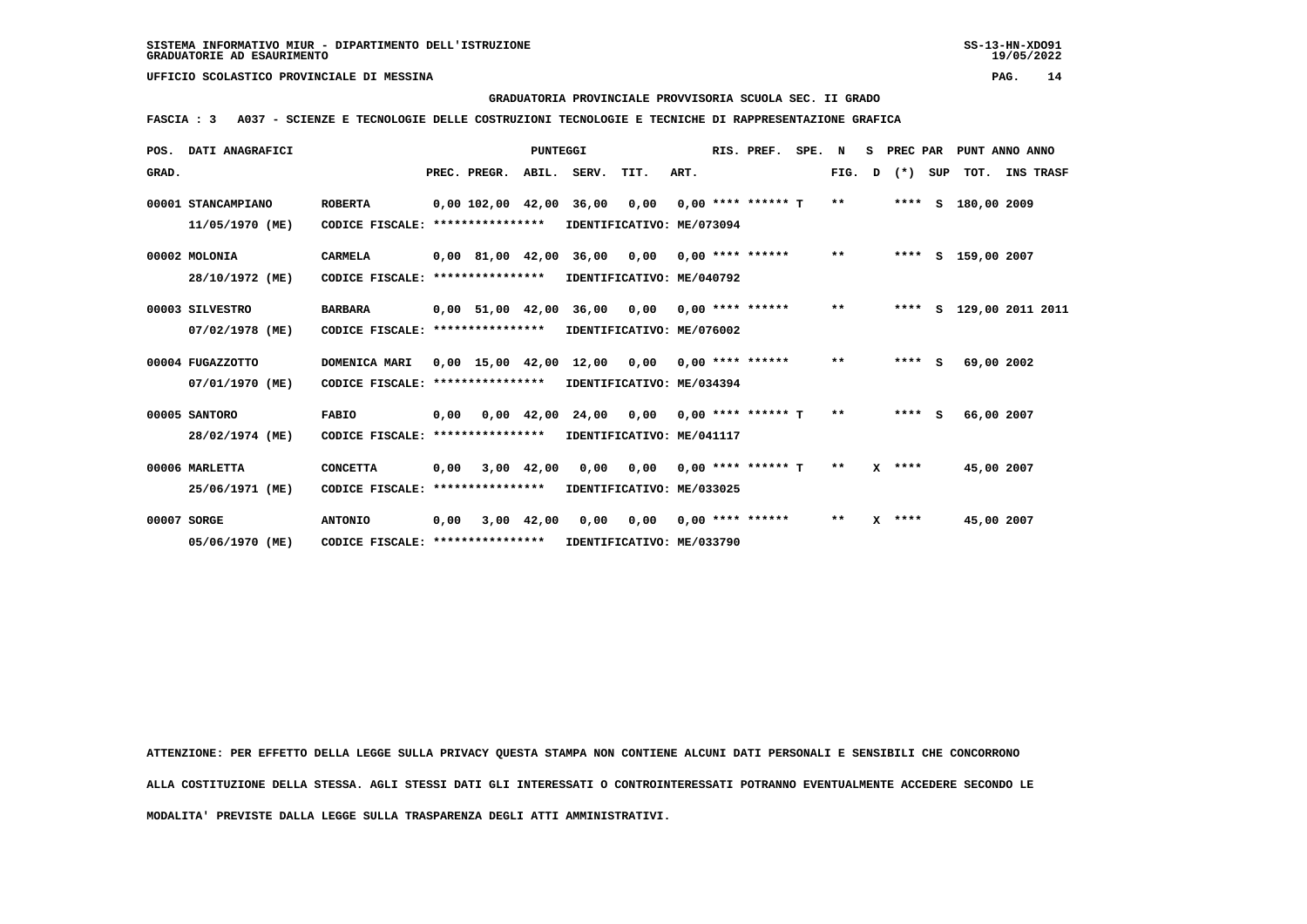# **GRADUATORIA PROVINCIALE PROVVISORIA SCUOLA SEC. II GRADO**

 **FASCIA : 3 A037 - SCIENZE E TECNOLOGIE DELLE COSTRUZIONI TECNOLOGIE E TECNICHE DI RAPPRESENTAZIONE GRAFICA**

|       | POS. DATI ANAGRAFICI |                                  |      |                                | <b>PUNTEGGI</b> |                                                |      | RIS. PREF.           | SPE. N |       | s |           |     | PREC PAR PUNT ANNO ANNO |                  |  |
|-------|----------------------|----------------------------------|------|--------------------------------|-----------------|------------------------------------------------|------|----------------------|--------|-------|---|-----------|-----|-------------------------|------------------|--|
| GRAD. |                      |                                  |      | PREC. PREGR. ABIL. SERV. TIT.  |                 |                                                | ART. |                      |        | FIG.  | D | $(\star)$ | SUP | тот.                    | <b>INS TRASF</b> |  |
|       | 00001 STANCAMPIANO   | <b>ROBERTA</b>                   |      | $0,00$ 102,00 42,00 36,00 0,00 |                 |                                                |      | $0.00$ **** ****** T |        | $**$  |   |           |     | **** S 180,00 2009      |                  |  |
|       | 11/05/1970 (ME)      | CODICE FISCALE:                  |      | ****************               |                 | IDENTIFICATIVO: ME/073094                      |      |                      |        |       |   |           |     |                         |                  |  |
|       | 00002 MOLONIA        | <b>CARMELA</b>                   |      |                                |                 | 0,00 81,00 42,00 36,00 0,00                    |      | $0.00$ **** ******   |        | $***$ |   |           |     | **** S 159,00 2007      |                  |  |
|       | 28/10/1972 (ME)      | CODICE FISCALE:                  |      | ****************               |                 | IDENTIFICATIVO: ME/040792                      |      |                      |        |       |   |           |     |                         |                  |  |
|       | 00003 SILVESTRO      | <b>BARBARA</b>                   |      |                                |                 | 0,00 51,00 42,00 36,00 0,00                    |      | $0.00$ **** ******   |        | $***$ |   | ****      |     | S 129,00 2011 2011      |                  |  |
|       | 07/02/1978 (ME)      | CODICE FISCALE:                  |      | ****************               |                 | IDENTIFICATIVO: ME/076002                      |      |                      |        |       |   |           |     |                         |                  |  |
|       | 00004 FUGAZZOTTO     | DOMENICA MARI                    |      |                                |                 | $0,00$ 15,00 42,00 12,00 0,00 0,00 **** ****** |      |                      |        | $***$ |   | $***5$    |     |                         | 69,00 2002       |  |
|       | 07/01/1970 (ME)      | CODICE FISCALE:                  |      | ****************               |                 | IDENTIFICATIVO: ME/034394                      |      |                      |        |       |   |           |     |                         |                  |  |
|       | 00005 SANTORO        | <b>FABIO</b>                     | 0.00 |                                |                 | 0,00 42,00 24,00 0,00                          |      | $0.00$ **** ****** T |        | $**$  |   | $***$ S   |     |                         | 66,00 2007       |  |
|       | 28/02/1974 (ME)      | CODICE FISCALE: **************** |      |                                |                 | IDENTIFICATIVO: ME/041117                      |      |                      |        |       |   |           |     |                         |                  |  |
|       | 00006 MARLETTA       | <b>CONCETTA</b>                  | 0.00 |                                | $3,00$ 42,00    | $0,00$ $0,00$ $0,00$ $***$ **** ***** T        |      |                      |        | $**$  |   | $X$ ****  |     |                         | 45,00 2007       |  |
|       | 25/06/1971 (ME)      | CODICE FISCALE: **************** |      |                                |                 | IDENTIFICATIVO: ME/033025                      |      |                      |        |       |   |           |     |                         |                  |  |
|       | 00007 SORGE          | <b>ANTONIO</b>                   | 0.00 |                                | $3,00$ 42,00    | 0,00 0,00                                      |      | $0.00$ **** ******   |        | $**$  |   | $X$ ****  |     |                         | 45,00 2007       |  |
|       | 05/06/1970 (ME)      | CODICE FISCALE: **************** |      |                                |                 | IDENTIFICATIVO: ME/033790                      |      |                      |        |       |   |           |     |                         |                  |  |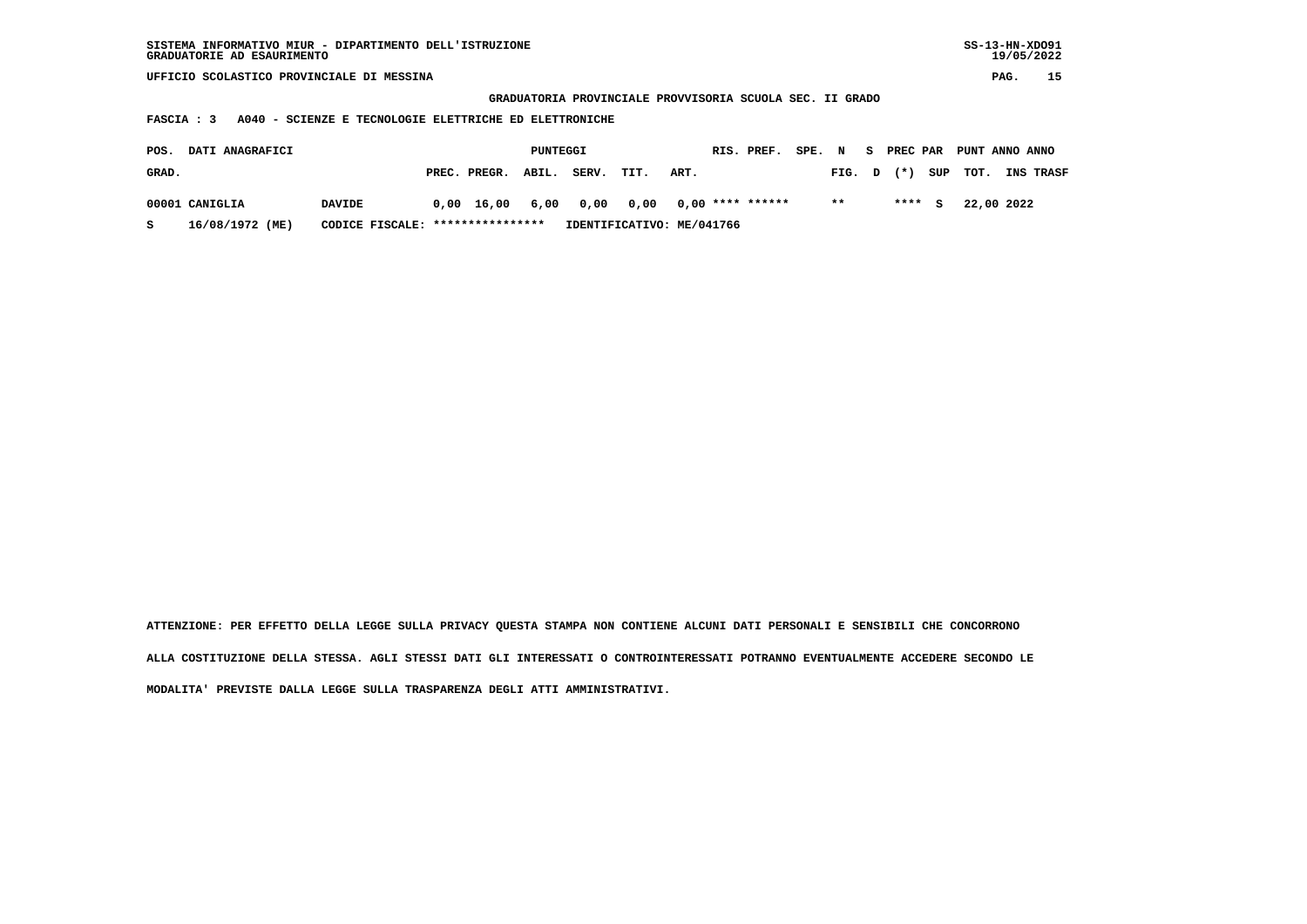| SISTEMA INFORMATIVO MIUR - DIPARTIMENTO DELL'ISTRUZIONE<br>GRADUATORIE AD ESAURIMENTO                              |                                   |                       |                           |                    |              |                    | $SS-13-HN-XDO91$<br>19/05/2022 |  |  |  |  |  |  |
|--------------------------------------------------------------------------------------------------------------------|-----------------------------------|-----------------------|---------------------------|--------------------|--------------|--------------------|--------------------------------|--|--|--|--|--|--|
| UFFICIO SCOLASTICO PROVINCIALE DI MESSINA                                                                          |                                   |                       |                           |                    |              |                    | 15<br>PAG.                     |  |  |  |  |  |  |
| GRADUATORIA PROVINCIALE PROVVISORIA SCUOLA SEC. II GRADO<br>A040 - SCIENZE E TECNOLOGIE ELETTRICHE ED ELETTRONICHE |                                   |                       |                           |                    |              |                    |                                |  |  |  |  |  |  |
| FASCIA : 3                                                                                                         |                                   |                       |                           |                    |              |                    |                                |  |  |  |  |  |  |
|                                                                                                                    |                                   |                       |                           |                    |              |                    |                                |  |  |  |  |  |  |
| DATI ANAGRAFICI<br>POS.                                                                                            |                                   | PUNTEGGI              |                           | RIS. PREF.         | SPE. N<br>S. | <b>PREC PAR</b>    | PUNT ANNO ANNO                 |  |  |  |  |  |  |
| GRAD.                                                                                                              |                                   | PREC. PREGR.<br>ABIL. | SERV.<br>TIT.             | ART.               | FIG.         | SUP<br>$(* )$<br>D | тот.<br><b>INS TRASF</b>       |  |  |  |  |  |  |
| 00001 CANIGLIA<br><b>DAVIDE</b>                                                                                    | 0,00                              | 6,00<br>16,00         | 0,00<br>0,00              | $0.00$ **** ****** | $***$        | ****<br>s          | 22,00 2022                     |  |  |  |  |  |  |
|                                                                                                                    |                                   |                       |                           |                    |              |                    |                                |  |  |  |  |  |  |
| 16/08/1972 (ME)<br>s                                                                                               | CODICE FISCALE: ***************** |                       | IDENTIFICATIVO: ME/041766 |                    |              |                    |                                |  |  |  |  |  |  |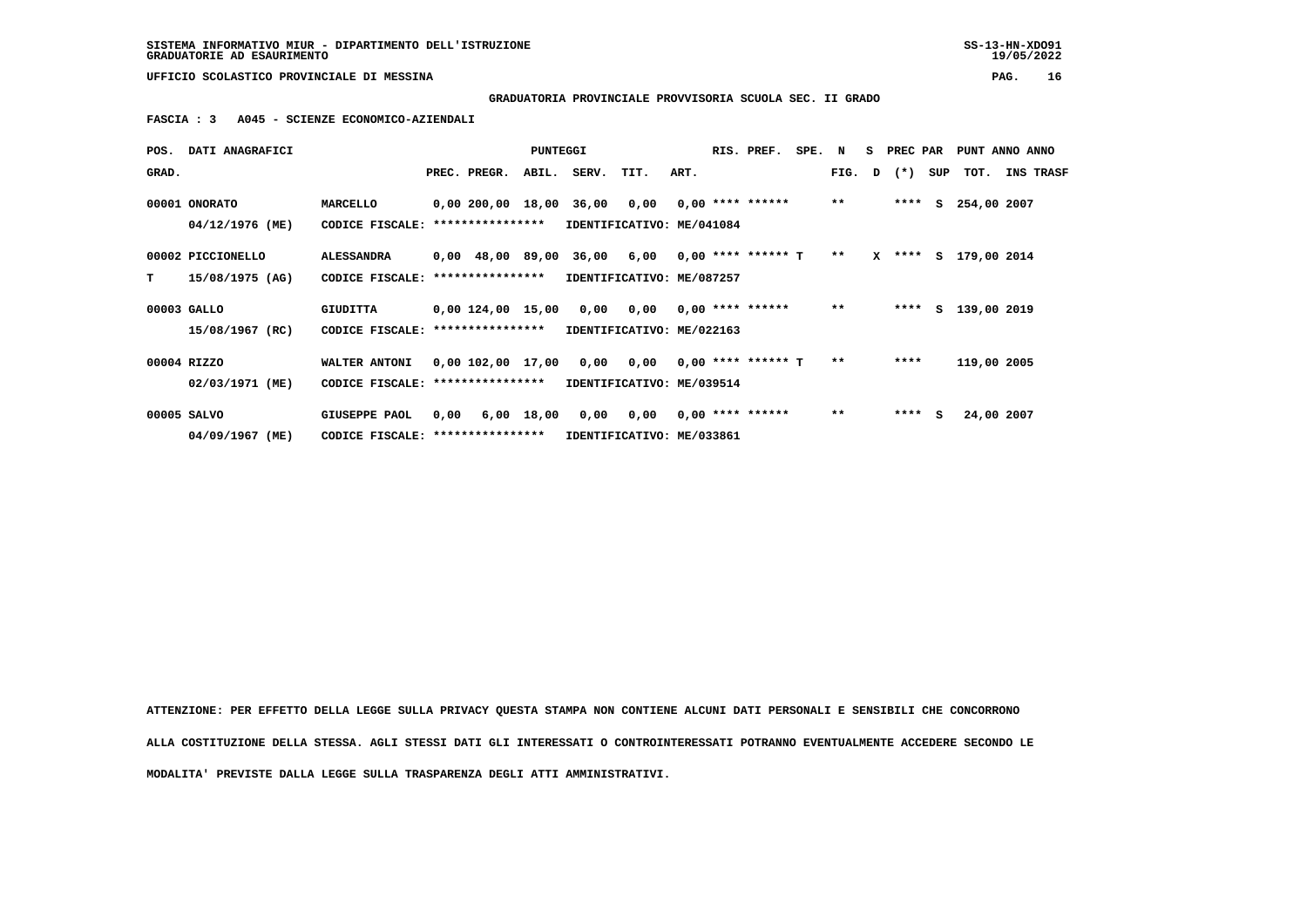**GRADUATORIA PROVINCIALE PROVVISORIA SCUOLA SEC. II GRADO**

 **FASCIA : 3 A045 - SCIENZE ECONOMICO-AZIENDALI**

|             | POS. DATI ANAGRAFICI |                                  |      |                  | <b>PUNTEGGI</b> |                                                     |                            |      | RIS. PREF. | SPE. N |              | S PREC PAR     | PUNT ANNO ANNO       |            |                  |
|-------------|----------------------|----------------------------------|------|------------------|-----------------|-----------------------------------------------------|----------------------------|------|------------|--------|--------------|----------------|----------------------|------------|------------------|
| GRAD.       |                      |                                  |      | PREC. PREGR.     |                 | ABIL. SERV.                                         | TIT.                       | ART. |            |        |              | FIG. $D$ $(*)$ | SUP TOT.             |            | <b>INS TRASF</b> |
|             | 00001 ONORATO        | MARCELLO                         |      |                  |                 | $0,00200,0018,0036,0000,0000*******$                |                            |      |            |        | $\star\star$ |                | **** S 254,00 2007   |            |                  |
|             | 04/12/1976 (ME)      | CODICE FISCALE:                  |      | **************** |                 | IDENTIFICATIVO: ME/041084                           |                            |      |            |        |              |                |                      |            |                  |
|             | 00002 PICCIONELLO    | <b>ALESSANDRA</b>                |      |                  |                 | $0,00$ 48,00 89,00 36,00 6,00 0,00 **** ****** T ** |                            |      |            |        |              |                | X **** S 179,00 2014 |            |                  |
| т           | 15/08/1975 (AG)      | CODICE FISCALE: **************** |      |                  |                 | IDENTIFICATIVO: ME/087257                           |                            |      |            |        |              |                |                      |            |                  |
| 00003 GALLO |                      | <b>GIUDITTA</b>                  |      |                  |                 | $0,00$ 124,00 15,00 0,00 0,00 0,00 **** ******      |                            |      |            |        | $* *$        |                | **** S 139,00 2019   |            |                  |
|             | 15/08/1967 (RC)      | CODICE FISCALE:                  |      | **************** |                 | IDENTIFICATIVO: ME/022163                           |                            |      |            |        |              |                |                      |            |                  |
|             | 00004 RIZZO          | WALTER ANTONI                    |      |                  |                 | $0,00$ 102,00 17,00 0,00 0,00 0,00 **** ****** T    |                            |      |            |        | $* *$        | ****           | 119,00 2005          |            |                  |
|             | 02/03/1971 (ME)      | CODICE FISCALE: **************** |      |                  |                 | IDENTIFICATIVO: ME/039514                           |                            |      |            |        |              |                |                      |            |                  |
| 00005 SALVO |                      | <b>GIUSEPPE PAOL</b>             | 0,00 |                  | 6,00 18,00      |                                                     | 0,00 0,00 0,00 **** ****** |      |            |        | $* *$        | $***$ S        |                      | 24,00 2007 |                  |
|             | 04/09/1967 (ME)      | CODICE FISCALE: **************** |      |                  |                 | IDENTIFICATIVO: ME/033861                           |                            |      |            |        |              |                |                      |            |                  |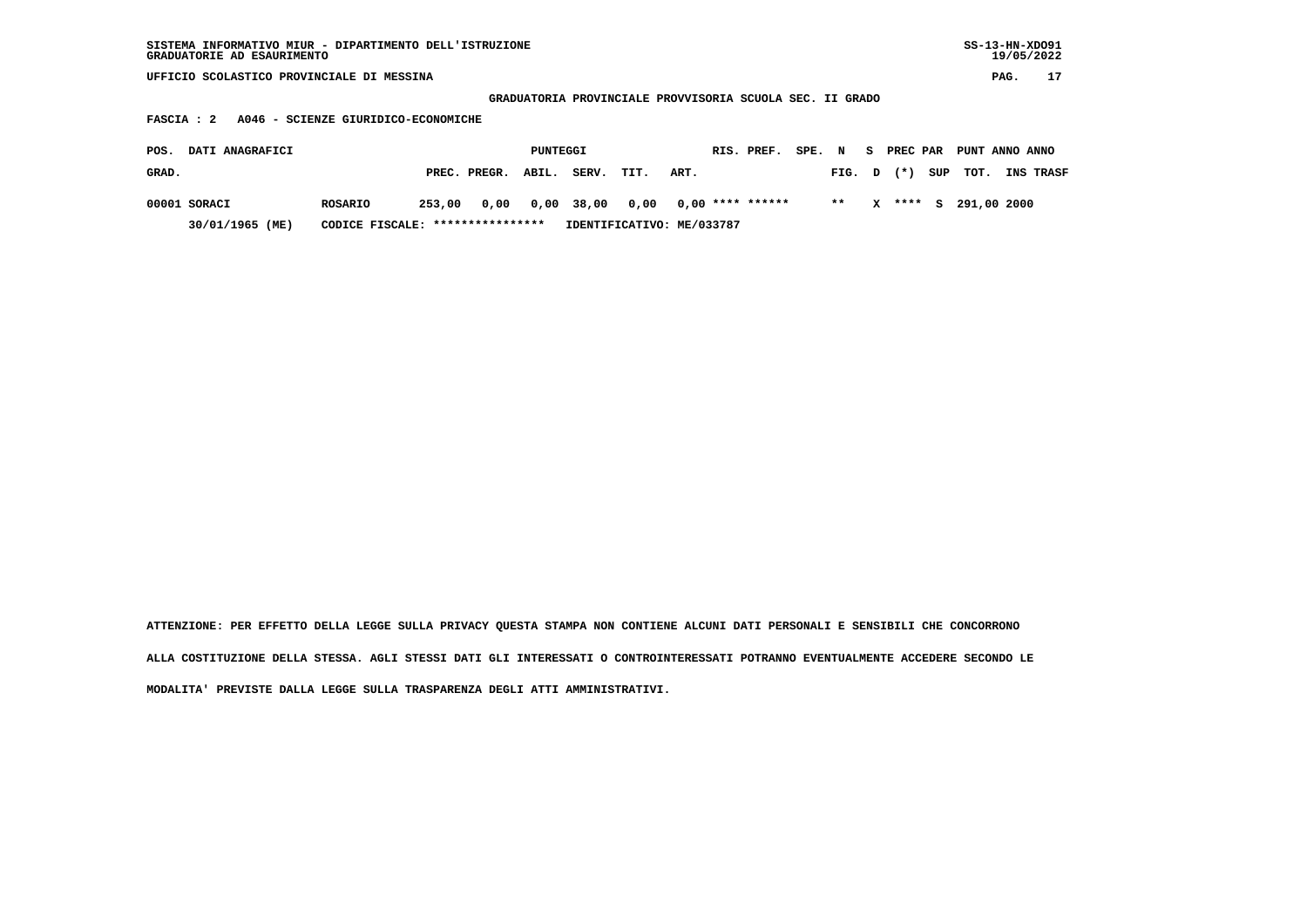| SISTEMA INFORMATIVO MIUR - DIPARTIMENTO DELL'ISTRUZIONE | SS-13-HN-XD091 |
|---------------------------------------------------------|----------------|
| GRADUATORIE AD ESAURIMENTO                              | 19/05/2022     |

 **GRADUATORIA PROVINCIALE PROVVISORIA SCUOLA SEC. II GRADO**

 **FASCIA : 2 A046 - SCIENZE GIURIDICO-ECONOMICHE**

| POS.  | <b>DATI ANAGRAFICI</b> |                                  |        |                    | PUNTEGGI |       |      |                                             | RIS. PREF. SPE. N S PREC PAR PUNT ANNO ANNO |       |  |                         |                  |
|-------|------------------------|----------------------------------|--------|--------------------|----------|-------|------|---------------------------------------------|---------------------------------------------|-------|--|-------------------------|------------------|
| GRAD. |                        |                                  |        | PREC. PREGR. ABIL. |          | SERV. | TIT. | ART.                                        |                                             |       |  | FIG. $D$ $(*)$ SUP TOT. | <b>INS TRASF</b> |
|       | 00001 SORACI           | ROSARIO                          | 253,00 |                    |          |       |      | 0,00  0,00  38,00  0,00  0,00  ****  ****** |                                             | $* *$ |  | X **** S 291.00 2000    |                  |
|       | 30/01/1965 (ME)        | CODICE FISCALE: **************** |        |                    |          |       |      | IDENTIFICATIVO: ME/033787                   |                                             |       |  |                         |                  |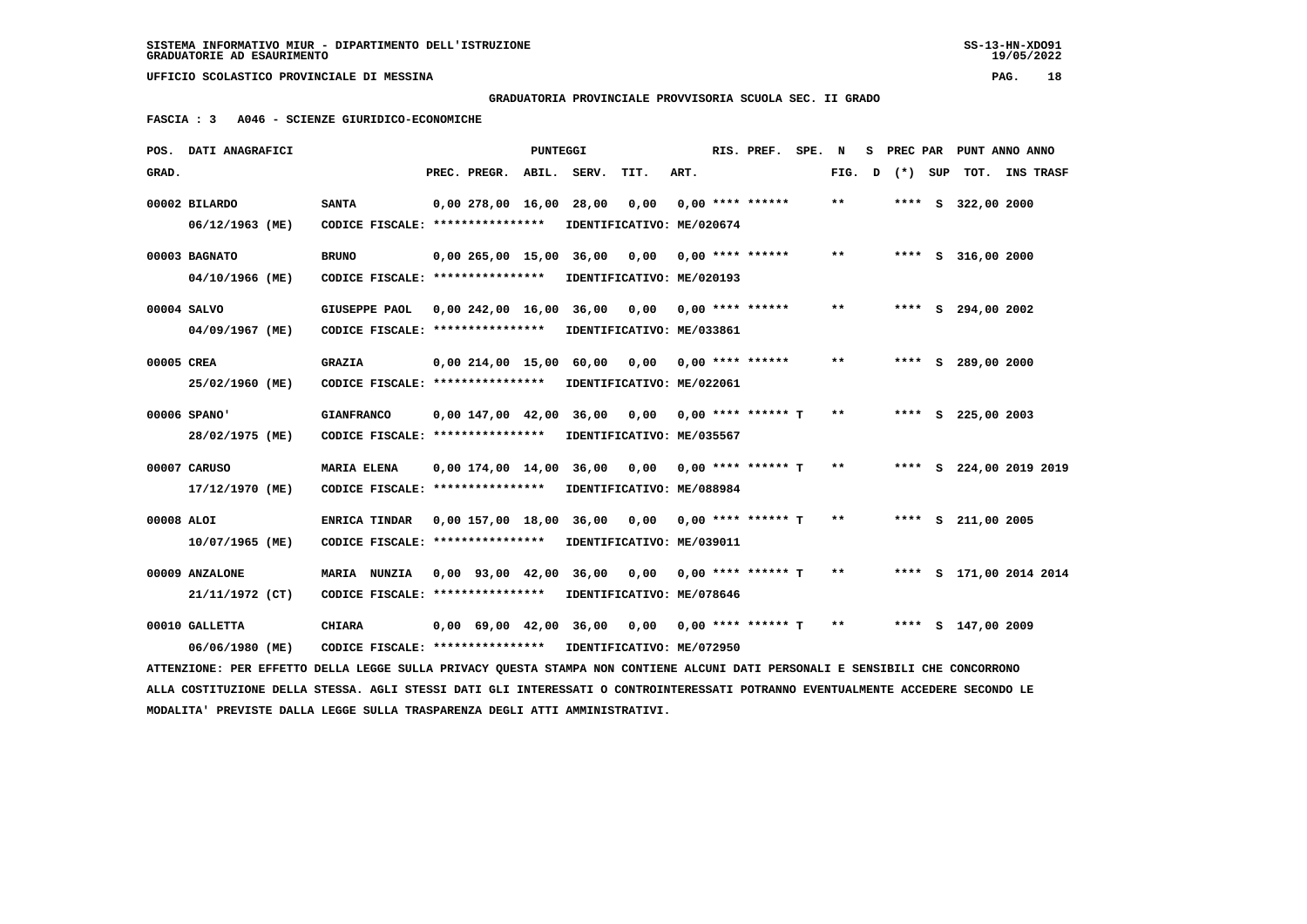## **GRADUATORIA PROVINCIALE PROVVISORIA SCUOLA SEC. II GRADO**

 **FASCIA : 3 A046 - SCIENZE GIURIDICO-ECONOMICHE**

|            | POS. DATI ANAGRAFICI                                                                                                            |                                   |                         | PUNTEGGI |                              |                           |      | RIS. PREF.           | SPE. N |       | s |        |     |                      | PREC PAR PUNT ANNO ANNO |
|------------|---------------------------------------------------------------------------------------------------------------------------------|-----------------------------------|-------------------------|----------|------------------------------|---------------------------|------|----------------------|--------|-------|---|--------|-----|----------------------|-------------------------|
| GRAD.      |                                                                                                                                 |                                   | PREC. PREGR. ABIL.      |          | SERV.                        | TIT.                      | ART. |                      |        | FIG.  | D | $(*)$  | SUP |                      | TOT. INS TRASF          |
|            | 00002 BILARDO                                                                                                                   | <b>SANTA</b>                      | 0,00 278,00 16,00       |          | 28,00                        | 0,00                      |      | $0.00$ **** ******   |        | $* *$ |   | **** S |     | 322,00 2000          |                         |
|            | 06/12/1963 (ME)                                                                                                                 | CODICE FISCALE: ****************  |                         |          |                              | IDENTIFICATIVO: ME/020674 |      |                      |        |       |   |        |     |                      |                         |
|            | 00003 BAGNATO                                                                                                                   | <b>BRUNO</b>                      | 0,00 265,00 15,00 36,00 |          |                              | 0,00                      |      | $0.00$ **** ******   |        | $* *$ |   |        |     | **** $S$ 316,00 2000 |                         |
|            | 04/10/1966 (ME)                                                                                                                 | CODICE FISCALE: ****************  |                         |          |                              | IDENTIFICATIVO: ME/020193 |      |                      |        |       |   |        |     |                      |                         |
|            | 00004 SALVO                                                                                                                     | <b>GIUSEPPE PAOL</b>              | 0,00242,0016,00         |          | 36,00                        | 0,00                      |      | $0.00$ **** ******   |        | $**$  |   |        |     | **** S 294,00 2002   |                         |
|            | 04/09/1967 (ME)                                                                                                                 | CODICE FISCALE: ****************  |                         |          |                              | IDENTIFICATIVO: ME/033861 |      |                      |        |       |   |        |     |                      |                         |
|            |                                                                                                                                 |                                   |                         |          |                              |                           |      |                      |        |       |   |        |     |                      |                         |
| 00005 CREA |                                                                                                                                 | <b>GRAZIA</b>                     |                         |          | 0,00 214,00 15,00 60,00      | 0,00                      |      | $0.00$ **** ******   |        | $* *$ |   |        |     | **** S 289,00 2000   |                         |
|            | 25/02/1960 (ME)                                                                                                                 | CODICE FISCALE: ****************  |                         |          |                              | IDENTIFICATIVO: ME/022061 |      |                      |        |       |   |        |     |                      |                         |
|            | 00006 SPANO'                                                                                                                    | <b>GIANFRANCO</b>                 |                         |          | 0,00 147,00 42,00 36,00      | 0.00                      |      | $0.00$ **** ****** T |        | $* *$ |   |        |     | **** $S$ 225,00 2003 |                         |
|            | 28/02/1975 (ME)                                                                                                                 | CODICE FISCALE: ***************** |                         |          |                              | IDENTIFICATIVO: ME/035567 |      |                      |        |       |   |        |     |                      |                         |
|            | 00007 CARUSO                                                                                                                    | <b>MARIA ELENA</b>                |                         |          | 0,00 174,00 14,00 36,00 0,00 |                           |      | $0.00$ **** ****** T |        | $***$ |   |        |     |                      | **** S 224,00 2019 2019 |
|            | 17/12/1970 (ME)                                                                                                                 | CODICE FISCALE: ****************  |                         |          |                              | IDENTIFICATIVO: ME/088984 |      |                      |        |       |   |        |     |                      |                         |
|            |                                                                                                                                 |                                   |                         |          |                              |                           |      |                      |        |       |   |        |     |                      |                         |
| 00008 ALOI |                                                                                                                                 | <b>ENRICA TINDAR</b>              |                         |          | 0,00 157,00 18,00 36,00      | 0,00                      |      | $0.00$ **** ****** T |        | $* *$ |   |        |     | **** S 211,00 2005   |                         |
|            | 10/07/1965 (ME)                                                                                                                 | CODICE FISCALE: ****************  |                         |          |                              | IDENTIFICATIVO: ME/039011 |      |                      |        |       |   |        |     |                      |                         |
|            | 00009 ANZALONE                                                                                                                  | MARIA NUNZIA                      | 0,00 93,00 42,00        |          | 36,00                        | 0,00                      |      | $0.00$ **** ****** T |        | $* *$ |   |        |     |                      | **** S 171,00 2014 2014 |
|            | 21/11/1972 (CT)                                                                                                                 | CODICE FISCALE: ****************  |                         |          |                              | IDENTIFICATIVO: ME/078646 |      |                      |        |       |   |        |     |                      |                         |
|            | 00010 GALLETTA                                                                                                                  | <b>CHIARA</b>                     |                         |          | 0,00 69,00 42,00 36,00       | 0,00                      |      | $0.00$ **** ****** T |        | $* *$ |   |        |     | **** S 147,00 2009   |                         |
|            | 06/06/1980 (ME)                                                                                                                 | CODICE FISCALE: ****************  |                         |          | IDENTIFICATIVO: ME/072950    |                           |      |                      |        |       |   |        |     |                      |                         |
|            | ATTENZIONE: PER EFFETTO DELLA LEGGE SULLA PRIVACY QUESTA STAMPA NON CONTIENE ALCUNI DATI PERSONALI E SENSIBILI CHE CONCORRONO   |                                   |                         |          |                              |                           |      |                      |        |       |   |        |     |                      |                         |
|            | ALLA COSTITUZIONE DELLA STESSA. AGLI STESSI DATI GLI INTERESSATI O CONTROINTERESSATI POTRANNO EVENTUALMENTE ACCEDERE SECONDO LE |                                   |                         |          |                              |                           |      |                      |        |       |   |        |     |                      |                         |
|            | MODALITA' PREVISTE DALLA LEGGE SULLA TRASPARENZA DEGLI ATTI AMMINISTRATIVI.                                                     |                                   |                         |          |                              |                           |      |                      |        |       |   |        |     |                      |                         |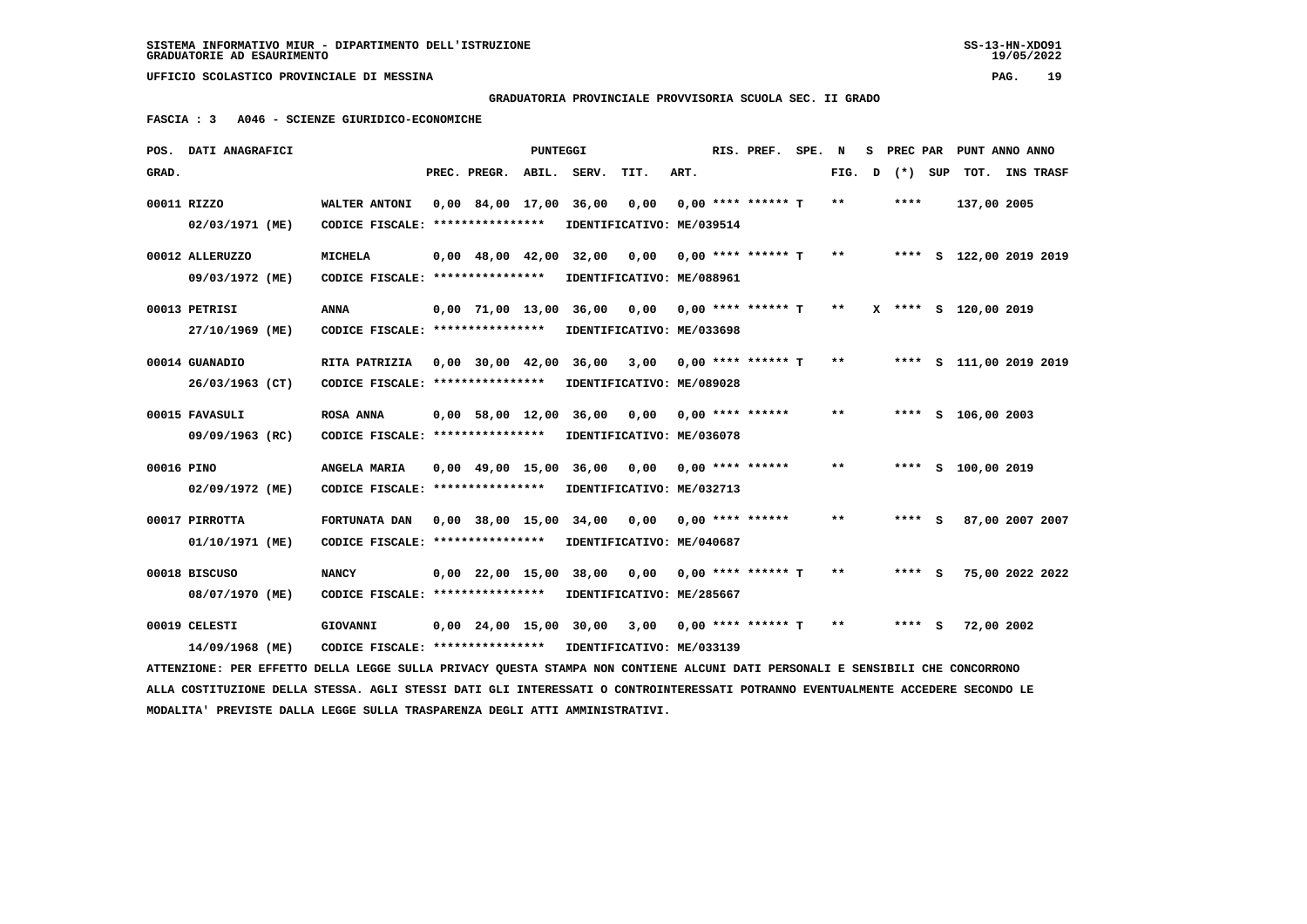**GRADUATORIA PROVINCIALE PROVVISORIA SCUOLA SEC. II GRADO**

 **FASCIA : 3 A046 - SCIENZE GIURIDICO-ECONOMICHE**

|            | POS. DATI ANAGRAFICI                                                                                                            |                                   |                                            | <b>PUNTEGGI</b> |                             |      |      | RIS. PREF.           | SPE. | N            | s | PREC PAR |         | PUNT ANNO ANNO          |                 |  |
|------------|---------------------------------------------------------------------------------------------------------------------------------|-----------------------------------|--------------------------------------------|-----------------|-----------------------------|------|------|----------------------|------|--------------|---|----------|---------|-------------------------|-----------------|--|
| GRAD.      |                                                                                                                                 |                                   | PREC. PREGR.                               | ABIL.           | SERV.                       | TIT. | ART. |                      |      | FIG.         | D |          | (*) SUP |                         | TOT. INS TRASF  |  |
|            | 00011 RIZZO                                                                                                                     | WALTER ANTONI                     | 0,00 84,00 17,00                           |                 | 36,00                       | 0,00 |      | $0.00$ **** ****** T |      | **           |   | ****     |         | 137,00 2005             |                 |  |
|            | 02/03/1971 (ME)                                                                                                                 | CODICE FISCALE: ***************** |                                            |                 | IDENTIFICATIVO: ME/039514   |      |      |                      |      |              |   |          |         |                         |                 |  |
|            | 00012 ALLERUZZO                                                                                                                 | <b>MICHELA</b>                    | $0.00 \quad 48.00 \quad 42.00 \quad 32.00$ |                 |                             | 0.00 |      | $0.00$ **** ****** T |      | $***$        |   |          |         | **** S 122,00 2019 2019 |                 |  |
|            | 09/03/1972 (ME)                                                                                                                 | CODICE FISCALE: ****************  |                                            |                 | IDENTIFICATIVO: ME/088961   |      |      |                      |      |              |   |          |         |                         |                 |  |
|            | 00013 PETRISI                                                                                                                   | <b>ANNA</b>                       | $0.00$ 71.00 13.00                         |                 | 36,00                       | 0,00 |      | $0.00$ **** ****** T |      | $* *$        |   |          |         | X **** S 120,00 2019    |                 |  |
|            | 27/10/1969 (ME)                                                                                                                 | CODICE FISCALE: ****************  |                                            |                 | IDENTIFICATIVO: ME/033698   |      |      |                      |      |              |   |          |         |                         |                 |  |
|            | 00014 GUANADIO                                                                                                                  | RITA PATRIZIA                     | 0,00 30,00 42,00 36,00                     |                 |                             | 3,00 |      | $0.00$ **** ****** T |      | $* *$        |   |          |         | **** S 111,00 2019 2019 |                 |  |
|            | 26/03/1963 (CT)                                                                                                                 | CODICE FISCALE: ****************  |                                            |                 | IDENTIFICATIVO: ME/089028   |      |      |                      |      |              |   |          |         |                         |                 |  |
|            | 00015 FAVASULI                                                                                                                  | <b>ROSA ANNA</b>                  | 0,00 58,00 12,00                           |                 | 36,00                       | 0,00 |      | $0.00$ **** ******   |      | $***$        |   |          |         | **** S 106,00 2003      |                 |  |
|            | 09/09/1963 (RC)                                                                                                                 | CODICE FISCALE: ****************  |                                            |                 | IDENTIFICATIVO: ME/036078   |      |      |                      |      |              |   |          |         |                         |                 |  |
| 00016 PINO |                                                                                                                                 | ANGELA MARIA                      |                                            |                 | 0,00 49,00 15,00 36,00 0,00 |      |      | $0.00$ **** ******   |      | $***$        |   |          |         | **** S 100,00 2019      |                 |  |
|            | 02/09/1972 (ME)                                                                                                                 | CODICE FISCALE: ***************** |                                            |                 | IDENTIFICATIVO: ME/032713   |      |      |                      |      |              |   |          |         |                         |                 |  |
|            | 00017 PIRROTTA                                                                                                                  | FORTUNATA DAN                     |                                            |                 | 0,00 38,00 15,00 34,00      | 0.00 |      | $0.00$ **** ******   |      | $\star\star$ |   | $***$ S  |         |                         | 87,00 2007 2007 |  |
|            | 01/10/1971 (ME)                                                                                                                 | CODICE FISCALE: ****************  |                                            |                 | IDENTIFICATIVO: ME/040687   |      |      |                      |      |              |   |          |         |                         |                 |  |
|            | 00018 BISCUSO                                                                                                                   | <b>NANCY</b>                      | 0,00 22,00 15,00                           |                 | 38,00                       | 0,00 |      | $0.00$ **** ****** T |      | **           |   | **** S   |         |                         | 75,00 2022 2022 |  |
|            | 08/07/1970 (ME)                                                                                                                 | CODICE FISCALE: ****************  |                                            |                 | IDENTIFICATIVO: ME/285667   |      |      |                      |      |              |   |          |         |                         |                 |  |
|            | 00019 CELESTI                                                                                                                   | <b>GIOVANNI</b>                   |                                            |                 | 0,00 24,00 15,00 30,00      | 3,00 |      | $0.00$ **** ****** T |      | $**$         |   | **** S   |         | 72,00 2002              |                 |  |
|            | 14/09/1968 (ME)                                                                                                                 | CODICE FISCALE: ****************  |                                            |                 | IDENTIFICATIVO: ME/033139   |      |      |                      |      |              |   |          |         |                         |                 |  |
|            | ATTENZIONE: PER EFFETTO DELLA LEGGE SULLA PRIVACY OUESTA STAMPA NON CONTIENE ALCUNI DATI PERSONALI E SENSIBILI CHE CONCORRONO   |                                   |                                            |                 |                             |      |      |                      |      |              |   |          |         |                         |                 |  |
|            | ALLA COSTITUZIONE DELLA STESSA. AGLI STESSI DATI GLI INTERESSATI O CONTROINTERESSATI POTRANNO EVENTUALMENTE ACCEDERE SECONDO LE |                                   |                                            |                 |                             |      |      |                      |      |              |   |          |         |                         |                 |  |
|            | MODALITA' PREVISTE DALLA LEGGE SULLA TRASPARENZA DEGLI ATTI AMMINISTRATIVI.                                                     |                                   |                                            |                 |                             |      |      |                      |      |              |   |          |         |                         |                 |  |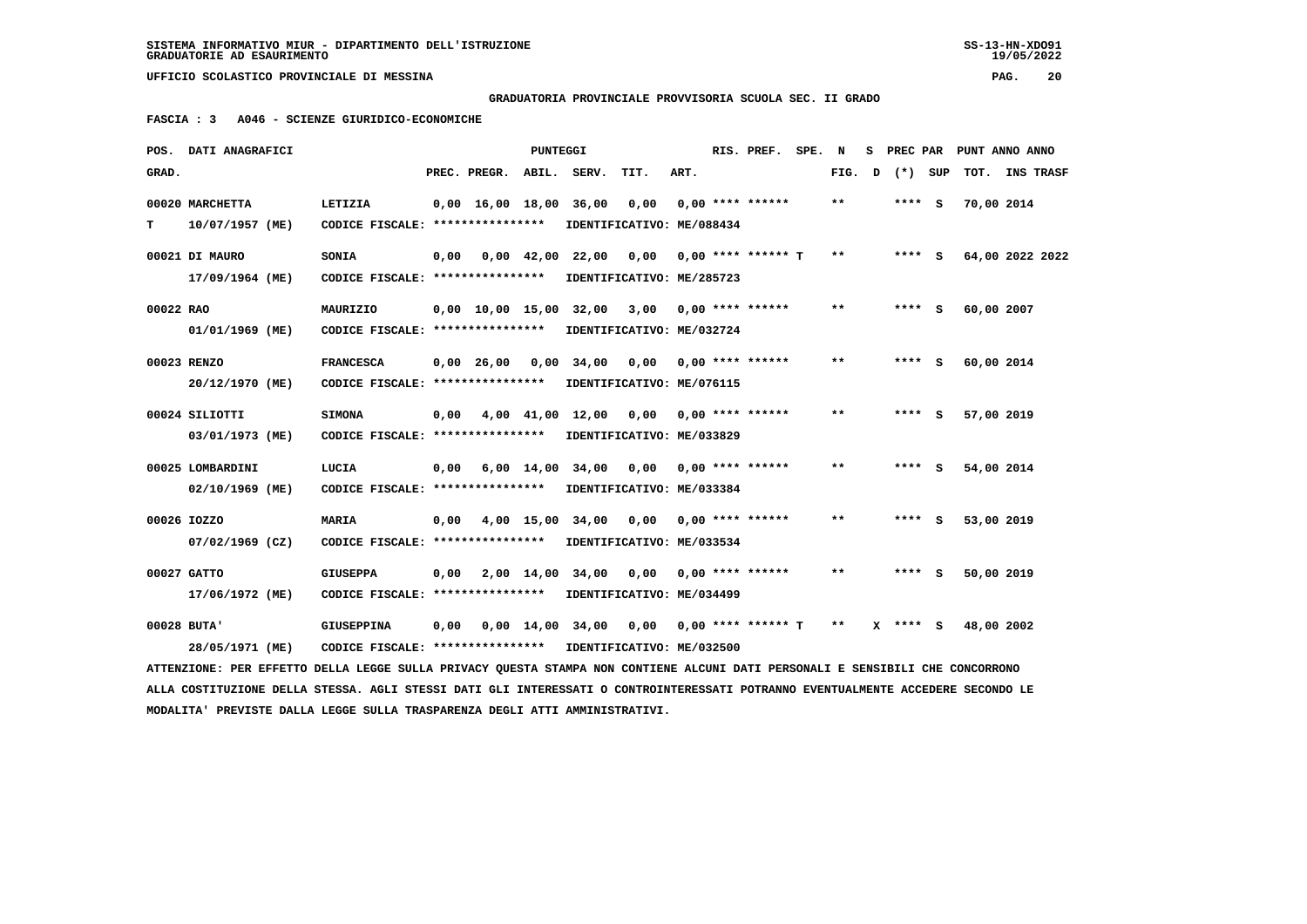**GRADUATORIA PROVINCIALE PROVVISORIA SCUOLA SEC. II GRADO**

 **FASCIA : 3 A046 - SCIENZE GIURIDICO-ECONOMICHE**

|           | POS. DATI ANAGRAFICI                                                                                                            |                                                            |      |                          | PUNTEGGI   |                                                        |                               |      | RIS. PREF. SPE. N    |        |          | S PREC PAR PUNT ANNO ANNO |  |
|-----------|---------------------------------------------------------------------------------------------------------------------------------|------------------------------------------------------------|------|--------------------------|------------|--------------------------------------------------------|-------------------------------|------|----------------------|--------|----------|---------------------------|--|
| GRAD.     |                                                                                                                                 |                                                            |      | PREC. PREGR. ABIL. SERV. |            |                                                        | TIT.                          | ART. |                      | FIG. D | (*) SUP  | TOT. INS TRASF            |  |
|           | 00020 MARCHETTA                                                                                                                 | LETIZIA                                                    |      | 0,00 16,00 18,00 36,00   |            |                                                        | 0,00                          |      | $0.00$ **** ******   | $* *$  | $***$ S  | 70,00 2014                |  |
| т         | 10/07/1957 (ME)                                                                                                                 | CODICE FISCALE: ****************                           |      |                          |            | IDENTIFICATIVO: ME/088434                              |                               |      |                      |        |          |                           |  |
|           | 00021 DI MAURO                                                                                                                  | <b>SONIA</b>                                               | 0,00 |                          | 0,00 42,00 | 22,00                                                  | 0,00                          |      | $0.00$ **** ****** T | $* *$  | $***$ S  | 64,00 2022 2022           |  |
|           | 17/09/1964 (ME)                                                                                                                 | CODICE FISCALE: *****************                          |      |                          |            | IDENTIFICATIVO: ME/285723                              |                               |      |                      |        |          |                           |  |
| 00022 RAO |                                                                                                                                 | MAURIZIO                                                   |      |                          |            | 0,00 10,00 15,00 32,00 3,00 0,00 **** ******           |                               |      |                      | $* *$  | $***$ S  | 60,00 2007                |  |
|           | 01/01/1969 (ME)                                                                                                                 | CODICE FISCALE: ****************                           |      |                          |            | IDENTIFICATIVO: ME/032724                              |                               |      |                      |        |          |                           |  |
|           | 00023 RENZO                                                                                                                     | <b>FRANCESCA</b>                                           |      | $0,00$ 26,00 0,00        |            |                                                        | $34,00$ 0,00 0,00 **** ****** |      |                      | $* *$  | **** S   | 60,00 2014                |  |
|           | 20/12/1970 (ME)                                                                                                                 | CODICE FISCALE: *****************                          |      |                          |            | IDENTIFICATIVO: ME/076115                              |                               |      |                      |        |          |                           |  |
|           | 00024 SILIOTTI                                                                                                                  | <b>SIMONA</b>                                              | 0,00 |                          |            | $4,00$ $41,00$ $12,00$ $0,00$ $0,00$ $***$ **** ****** |                               |      |                      | $* *$  | $***$ S  | 57,00 2019                |  |
|           | 03/01/1973 (ME)                                                                                                                 | CODICE FISCALE: **************** IDENTIFICATIVO: ME/033829 |      |                          |            |                                                        |                               |      |                      |        |          |                           |  |
|           | 00025 LOMBARDINI                                                                                                                | LUCIA                                                      | 0,00 |                          |            | $6,00$ 14,00 34,00 0,00 0,00 **** ******               |                               |      |                      | $* *$  | **** S   | 54,00 2014                |  |
|           | 02/10/1969 (ME)                                                                                                                 | CODICE FISCALE: ****************                           |      |                          |            | IDENTIFICATIVO: ME/033384                              |                               |      |                      |        |          |                           |  |
|           | 00026 IOZZO                                                                                                                     | <b>MARIA</b>                                               | 0,00 |                          |            | $4,00$ 15,00 34,00 0,00 0,00 **** ******               |                               |      |                      | $* *$  | $***$ S  | 53,00 2019                |  |
|           | $07/02/1969$ (CZ)                                                                                                               | CODICE FISCALE: **************** IDENTIFICATIVO: ME/033534 |      |                          |            |                                                        |                               |      |                      |        |          |                           |  |
|           | 00027 GATTO                                                                                                                     | <b>GIUSEPPA</b>                                            | 0,00 |                          |            | 2,00 14,00 34,00 0,00 0,00 **** ******                 |                               |      |                      | $* *$  | **** S   | 50,00 2019                |  |
|           | 17/06/1972 (ME)                                                                                                                 | CODICE FISCALE: ****************                           |      |                          |            | IDENTIFICATIVO: ME/034499                              |                               |      |                      |        |          |                           |  |
|           | $00028$ BUTA'                                                                                                                   | GIUSEPPINA                                                 | 0,00 |                          |            | $0,00$ 14,00 34,00 0,00 0,00 **** ****** T **          |                               |      |                      |        | X **** S | 48,00 2002                |  |
|           | 28/05/1971 (ME)                                                                                                                 | CODICE FISCALE: **************** IDENTIFICATIVO: ME/032500 |      |                          |            |                                                        |                               |      |                      |        |          |                           |  |
|           | ATTENZIONE: PER EFFETTO DELLA LEGGE SULLA PRIVACY QUESTA STAMPA NON CONTIENE ALCUNI DATI PERSONALI E SENSIBILI CHE CONCORRONO   |                                                            |      |                          |            |                                                        |                               |      |                      |        |          |                           |  |
|           | ALLA COSTITUZIONE DELLA STESSA. AGLI STESSI DATI GLI INTERESSATI O CONTROINTERESSATI POTRANNO EVENTUALMENTE ACCEDERE SECONDO LE |                                                            |      |                          |            |                                                        |                               |      |                      |        |          |                           |  |

 **MODALITA' PREVISTE DALLA LEGGE SULLA TRASPARENZA DEGLI ATTI AMMINISTRATIVI.**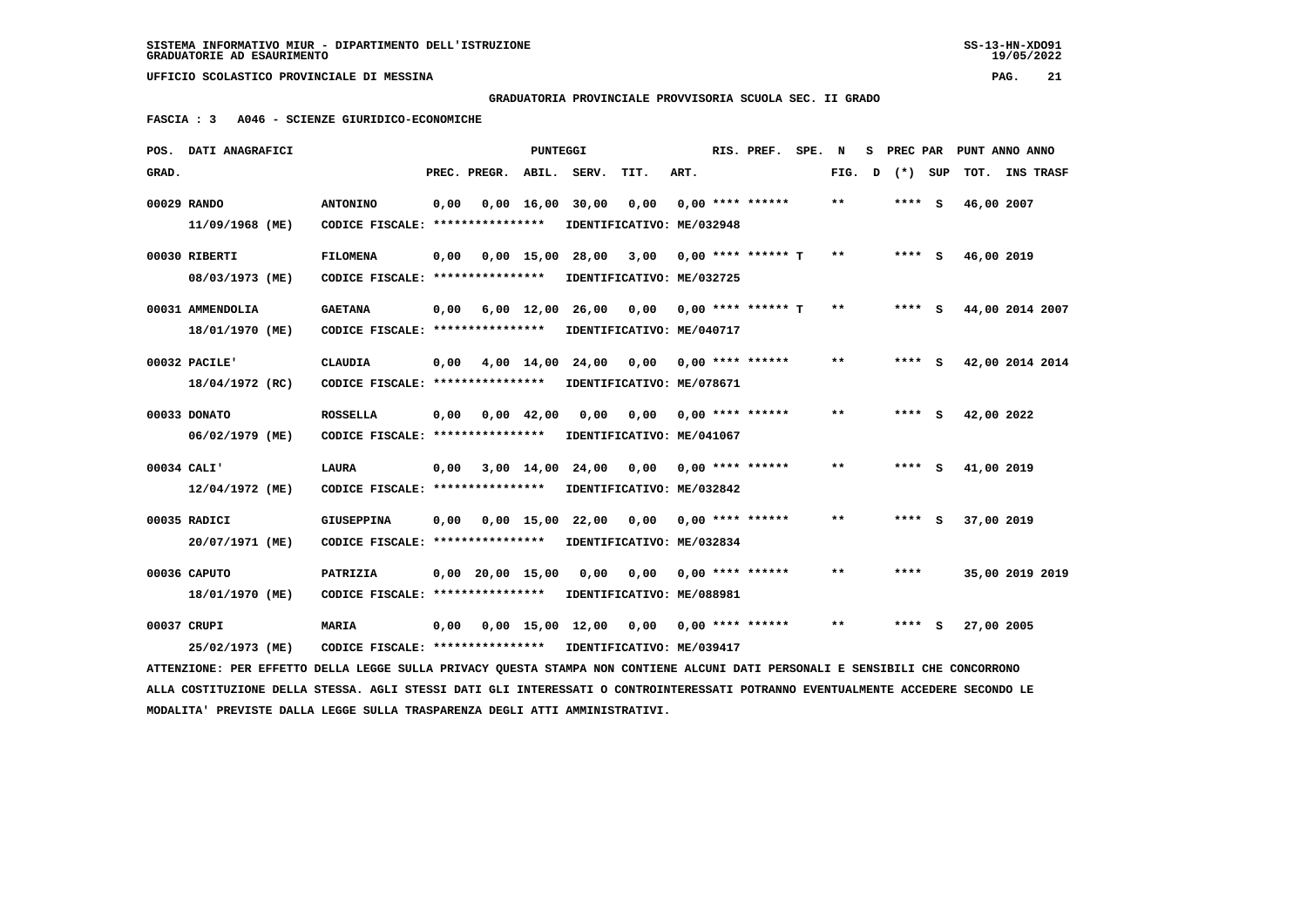**GRADUATORIA PROVINCIALE PROVVISORIA SCUOLA SEC. II GRADO**

 **FASCIA : 3 A046 - SCIENZE GIURIDICO-ECONOMICHE**

|       | POS. DATI ANAGRAFICI                                                                                                            |                                                            |      |                    | PUNTEGGI   |                                          |                           |      | RIS. PREF.                | SPE. | N     | s | PREC PAR |     | PUNT ANNO ANNO |                  |  |
|-------|---------------------------------------------------------------------------------------------------------------------------------|------------------------------------------------------------|------|--------------------|------------|------------------------------------------|---------------------------|------|---------------------------|------|-------|---|----------|-----|----------------|------------------|--|
| GRAD. |                                                                                                                                 |                                                            |      | PREC. PREGR.       | ABIL.      | SERV.                                    | TIT.                      | ART. |                           |      | FIG.  | D | $(* )$   | SUP | тот.           | <b>INS TRASF</b> |  |
|       | 00029 RANDO                                                                                                                     | <b>ANTONINO</b>                                            | 0,00 |                    |            | $0,00 \quad 16,00 \quad 30,00$           | 0,00                      |      | $0.00$ **** ******        |      | $* *$ |   | $***$ S  |     | 46,00 2007     |                  |  |
|       | 11/09/1968 (ME)                                                                                                                 | CODICE FISCALE: ****************                           |      |                    |            |                                          | IDENTIFICATIVO: ME/032948 |      |                           |      |       |   |          |     |                |                  |  |
|       | 00030 RIBERTI                                                                                                                   | <b>FILOMENA</b>                                            | 0,00 |                    |            | 0,00 15,00 28,00                         |                           |      | $3,00$ 0,00 **** ****** T |      | **    |   | **** S   |     | 46,00 2019     |                  |  |
|       | 08/03/1973 (ME)                                                                                                                 | CODICE FISCALE: *****************                          |      |                    |            | IDENTIFICATIVO: ME/032725                |                           |      |                           |      |       |   |          |     |                |                  |  |
|       | 00031 AMMENDOLIA                                                                                                                | <b>GAETANA</b>                                             | 0,00 |                    |            | 6,00 12,00 26,00 0,00 0,00 **** ****** T |                           |      |                           |      | $* *$ |   | $***$ S  |     |                | 44,00 2014 2007  |  |
|       | 18/01/1970 (ME)                                                                                                                 | CODICE FISCALE: ****************                           |      |                    |            |                                          | IDENTIFICATIVO: ME/040717 |      |                           |      |       |   |          |     |                |                  |  |
|       | 00032 PACILE'                                                                                                                   | <b>CLAUDIA</b>                                             | 0,00 |                    | 4,00 14,00 | 24,00                                    | 0,00                      |      | $0.00$ **** ******        |      | $***$ |   | $***$ S  |     |                | 42,00 2014 2014  |  |
|       | 18/04/1972 (RC)                                                                                                                 | CODICE FISCALE: ****************                           |      |                    |            | IDENTIFICATIVO: ME/078671                |                           |      |                           |      |       |   |          |     |                |                  |  |
|       | 00033 DONATO                                                                                                                    | <b>ROSSELLA</b>                                            | 0,00 | 0,00 42,00         |            | 0,00                                     | 0,00                      |      | $0.00$ **** ******        |      | **    |   | **** S   |     | 42,00 2022     |                  |  |
|       | 06/02/1979 (ME)                                                                                                                 | CODICE FISCALE: *****************                          |      |                    |            |                                          | IDENTIFICATIVO: ME/041067 |      |                           |      |       |   |          |     |                |                  |  |
|       | 00034 CALI'                                                                                                                     | <b>LAURA</b>                                               | 0,00 |                    | 3,00 14,00 | 24,00                                    | 0,00                      |      | $0,00$ **** ******        |      | **    |   | **** S   |     | 41,00 2019     |                  |  |
|       | 12/04/1972 (ME)                                                                                                                 | CODICE FISCALE: ****************                           |      |                    |            |                                          | IDENTIFICATIVO: ME/032842 |      |                           |      |       |   |          |     |                |                  |  |
|       | 00035 RADICI                                                                                                                    | <b>GIUSEPPINA</b>                                          |      |                    |            | 0,00 0,00 15,00 22,00                    | 0,00                      |      | $0.00$ **** ******        |      | $**$  |   | $***$ S  |     | 37,00 2019     |                  |  |
|       | 20/07/1971 (ME)                                                                                                                 | CODICE FISCALE: **************** IDENTIFICATIVO: ME/032834 |      |                    |            |                                          |                           |      |                           |      |       |   |          |     |                |                  |  |
|       | 00036 CAPUTO                                                                                                                    | PATRIZIA                                                   |      | $0,00$ 20,00 15,00 |            | 0,00                                     | 0.00                      |      | $0.00$ **** ******        |      | **    |   | ****     |     |                | 35,00 2019 2019  |  |
|       | 18/01/1970 (ME)                                                                                                                 | CODICE FISCALE: *****************                          |      |                    |            |                                          | IDENTIFICATIVO: ME/088981 |      |                           |      |       |   |          |     |                |                  |  |
|       | 00037 CRUPI                                                                                                                     | MARIA                                                      | 0,00 |                    |            | 0,00 15,00 12,00                         |                           |      | $0,00$ 0,00 **** ******   |      | $***$ |   | **** S   |     | 27,00 2005     |                  |  |
|       | 25/02/1973 (ME)                                                                                                                 | CODICE FISCALE: **************** IDENTIFICATIVO: ME/039417 |      |                    |            |                                          |                           |      |                           |      |       |   |          |     |                |                  |  |
|       | ATTENZIONE: PER EFFETTO DELLA LEGGE SULLA PRIVACY QUESTA STAMPA NON CONTIENE ALCUNI DATI PERSONALI E SENSIBILI CHE CONCORRONO   |                                                            |      |                    |            |                                          |                           |      |                           |      |       |   |          |     |                |                  |  |
|       | ALLA COSTITUZIONE DELLA STESSA. AGLI STESSI DATI GLI INTERESSATI O CONTROINTERESSATI POTRANNO EVENTUALMENTE ACCEDERE SECONDO LE |                                                            |      |                    |            |                                          |                           |      |                           |      |       |   |          |     |                |                  |  |

 **MODALITA' PREVISTE DALLA LEGGE SULLA TRASPARENZA DEGLI ATTI AMMINISTRATIVI.**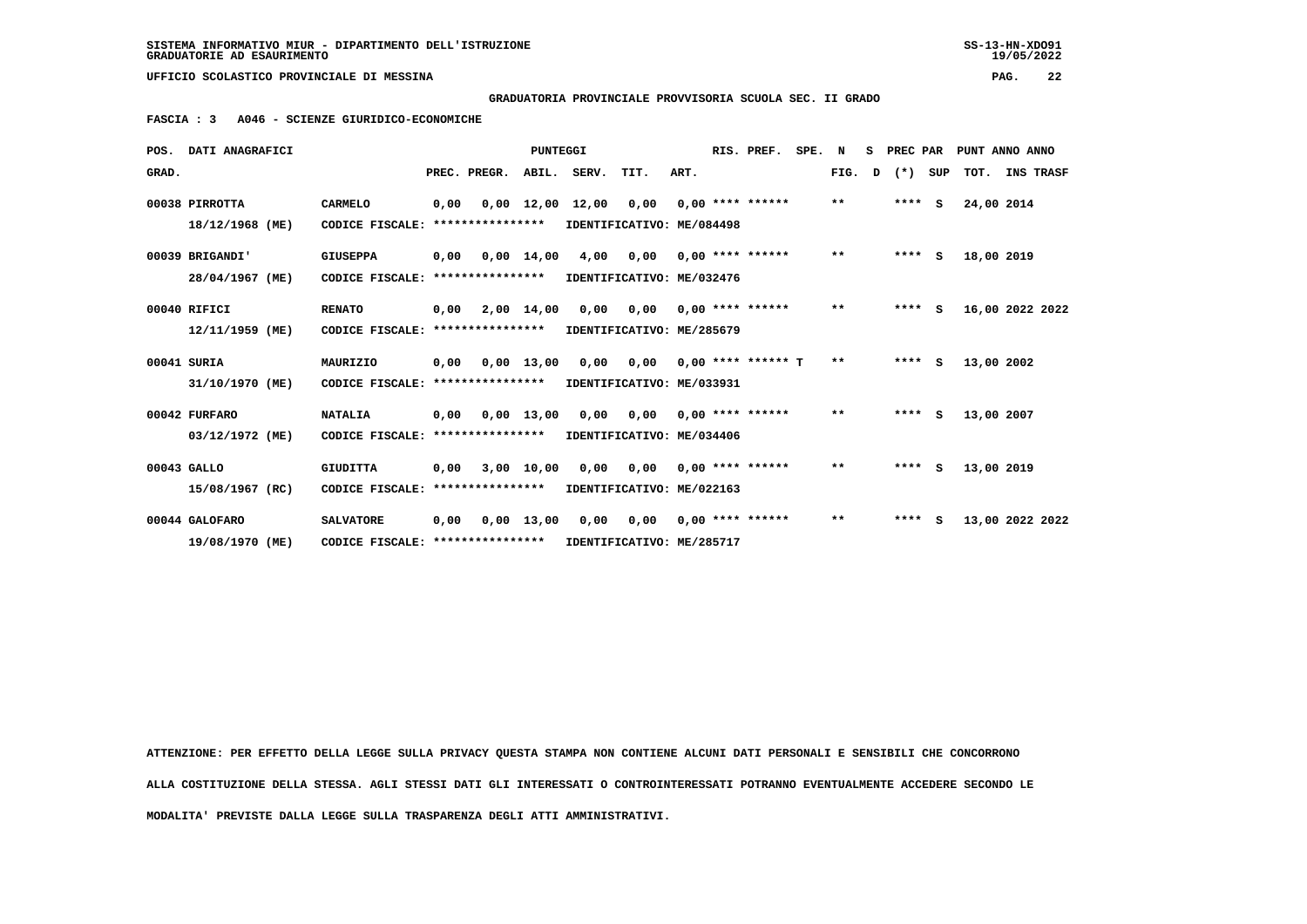## **GRADUATORIA PROVINCIALE PROVVISORIA SCUOLA SEC. II GRADO**

 **FASCIA : 3 A046 - SCIENZE GIURIDICO-ECONOMICHE**

|       | POS. DATI ANAGRAFICI |                                   |      |                       | <b>PUNTEGGI</b> |                  |                           |      | RIS. PREF.                  | SPE. | N     | s | PREC PAR |     |            | PUNT ANNO ANNO  |
|-------|----------------------|-----------------------------------|------|-----------------------|-----------------|------------------|---------------------------|------|-----------------------------|------|-------|---|----------|-----|------------|-----------------|
| GRAD. |                      |                                   |      | PREC. PREGR.          | ABIL.           | SERV.            | TIT.                      | ART. |                             |      | FIG.  | D | $(* )$   | SUP |            | TOT. INS TRASF  |
|       | 00038 PIRROTTA       | CARMELO                           | 0.00 |                       |                 | 0,00 12,00 12,00 | 0,00                      |      | $0.00$ **** ******          |      | $***$ |   | $***$ S  |     | 24,00 2014 |                 |
|       | 18/12/1968 (ME)      | CODICE FISCALE:                   |      | ****************      |                 |                  | IDENTIFICATIVO: ME/084498 |      |                             |      |       |   |          |     |            |                 |
|       | 00039 BRIGANDI'      | <b>GIUSEPPA</b>                   |      | $0,00$ $0,00$ $14,00$ |                 | 4,00             | 0,00                      |      | $0.00$ **** ******          |      | $***$ |   | $***$ S  |     | 18,00 2019 |                 |
|       | 28/04/1967 (ME)      | CODICE FISCALE:                   |      | ****************      |                 |                  | IDENTIFICATIVO: ME/032476 |      |                             |      |       |   |          |     |            |                 |
|       | 00040 RIFICI         | <b>RENATO</b>                     | 0,00 |                       | 2,00 14,00      | 0,00             | 0,00                      |      | $0.00$ **** ******          |      | $***$ |   | $***$ S  |     |            | 16,00 2022 2022 |
|       | 12/11/1959 (ME)      | CODICE FISCALE:                   |      | ****************      |                 |                  | IDENTIFICATIVO: ME/285679 |      |                             |      |       |   |          |     |            |                 |
|       | 00041 SURIA          | MAURIZIO                          | 0.00 |                       | $0.00$ 13.00    | 0.00             |                           |      | $0.00$ $0.00$ **** ****** T |      | $***$ |   | $***$ S  |     | 13,00 2002 |                 |
|       | 31/10/1970 (ME)      | CODICE FISCALE:                   |      | ****************      |                 |                  | IDENTIFICATIVO: ME/033931 |      |                             |      |       |   |          |     |            |                 |
|       | 00042 FURFARO        | <b>NATALIA</b>                    | 0.00 |                       | $0.00$ 13.00    | 0.00             | 0.00                      |      | $0.00$ **** ******          |      | $***$ |   | $***$ S  |     | 13,00 2007 |                 |
|       | 03/12/1972 (ME)      | CODICE FISCALE:                   |      | ****************      |                 |                  | IDENTIFICATIVO: ME/034406 |      |                             |      |       |   |          |     |            |                 |
|       | 00043 GALLO          | <b>GIUDITTA</b>                   | 0.00 |                       |                 | 3,00 10,00 0,00  | 0.00                      |      | $0.00$ **** ******          |      | $***$ |   | $***$ S  |     | 13,00 2019 |                 |
|       | 15/08/1967 (RC)      | CODICE FISCALE:                   |      | ****************      |                 |                  | IDENTIFICATIVO: ME/022163 |      |                             |      |       |   |          |     |            |                 |
|       | 00044 GALOFARO       | <b>SALVATORE</b>                  | 0,00 |                       | $0.00$ 13.00    | 0.00             | 0.00                      |      | $0.00$ **** ******          |      | $* *$ |   | ****     | s   |            | 13,00 2022 2022 |
|       | 19/08/1970 (ME)      | CODICE FISCALE: ***************** |      |                       |                 |                  | IDENTIFICATIVO: ME/285717 |      |                             |      |       |   |          |     |            |                 |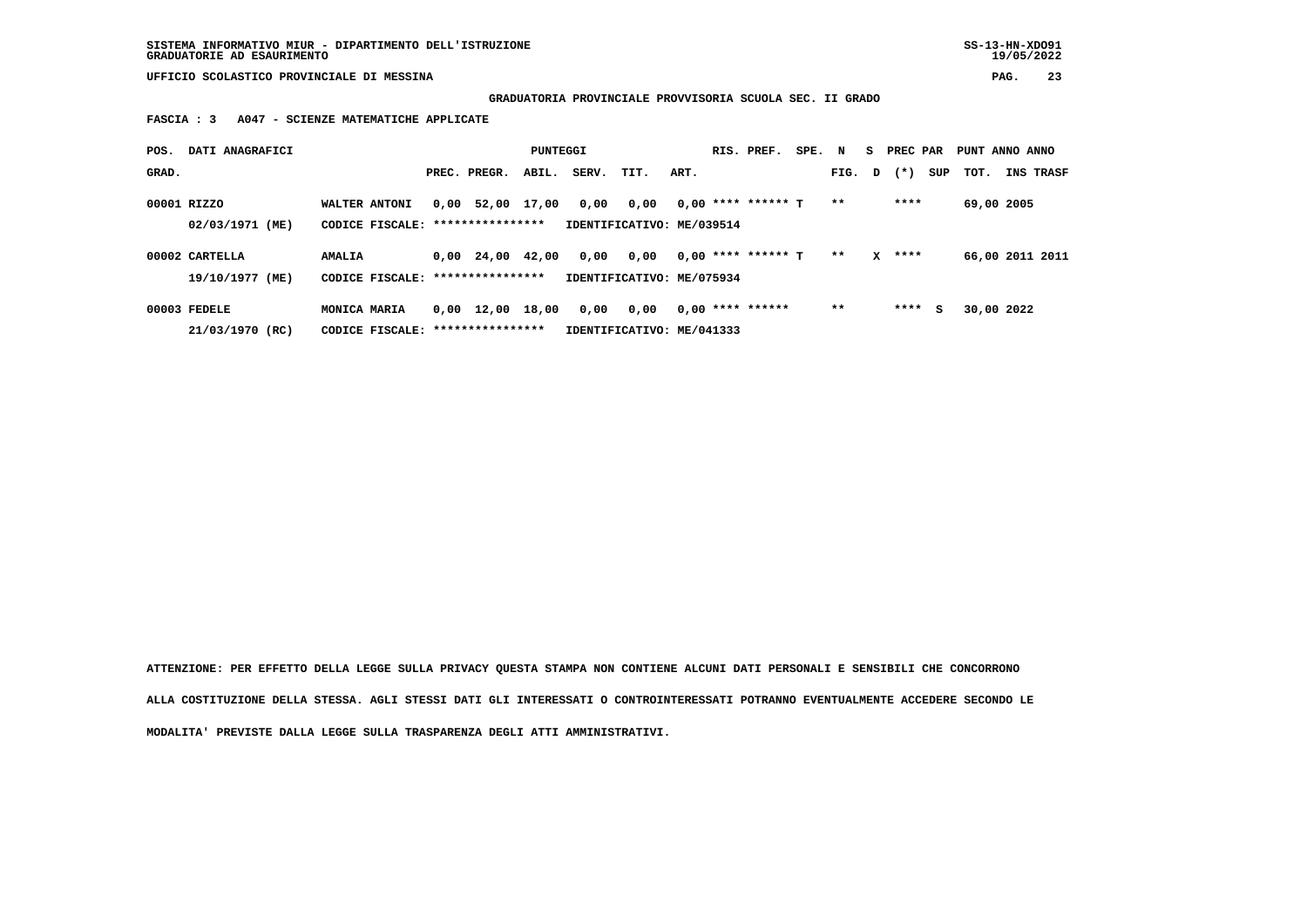**GRADUATORIA PROVINCIALE PROVVISORIA SCUOLA SEC. II GRADO**

 **FASCIA : 3 A047 - SCIENZE MATEMATICHE APPLICATE**

| POS.  | DATI ANAGRAFICI                   |                                                    |                                | PUNTEGGI |       |                                   |      | RIS. PREF.           | SPE. | N      | S PREC PAR |     | PUNT ANNO ANNO |                  |
|-------|-----------------------------------|----------------------------------------------------|--------------------------------|----------|-------|-----------------------------------|------|----------------------|------|--------|------------|-----|----------------|------------------|
| GRAD. |                                   |                                                    | PREC. PREGR.                   | ABIL.    | SERV. | TIT.                              | ART. |                      |      | FIG. D | $(\star)$  | SUP | тот.           | <b>INS TRASF</b> |
|       | 00001 RIZZO<br>02/03/1971 (ME)    | WALTER ANTONI<br>CODICE FISCALE: ***************** | 0,00 52,00 17,00               |          | 0,00  | 0,00<br>IDENTIFICATIVO: ME/039514 |      | $0.00$ **** ****** T |      | $* *$  | ****       |     | 69,00 2005     |                  |
|       | 00002 CARTELLA<br>19/10/1977 (ME) | <b>AMALIA</b><br>CODICE FISCALE: ***************** | $0.00 \quad 24.00 \quad 42.00$ |          | 0,00  | 0,00<br>IDENTIFICATIVO: ME/075934 |      | 0,00 **** ****** T   |      | $* *$  | $X$ ****   |     |                | 66,00 2011 2011  |
|       | 00003 FEDELE<br>21/03/1970 (RC)   | MONICA MARIA<br>CODICE FISCALE: *****************  | 0,00 12,00 18,00               |          | 0,00  | 0,00<br>IDENTIFICATIVO: ME/041333 |      | $0,00$ **** ******   |      | $* *$  | ****       | s   | 30,00 2022     |                  |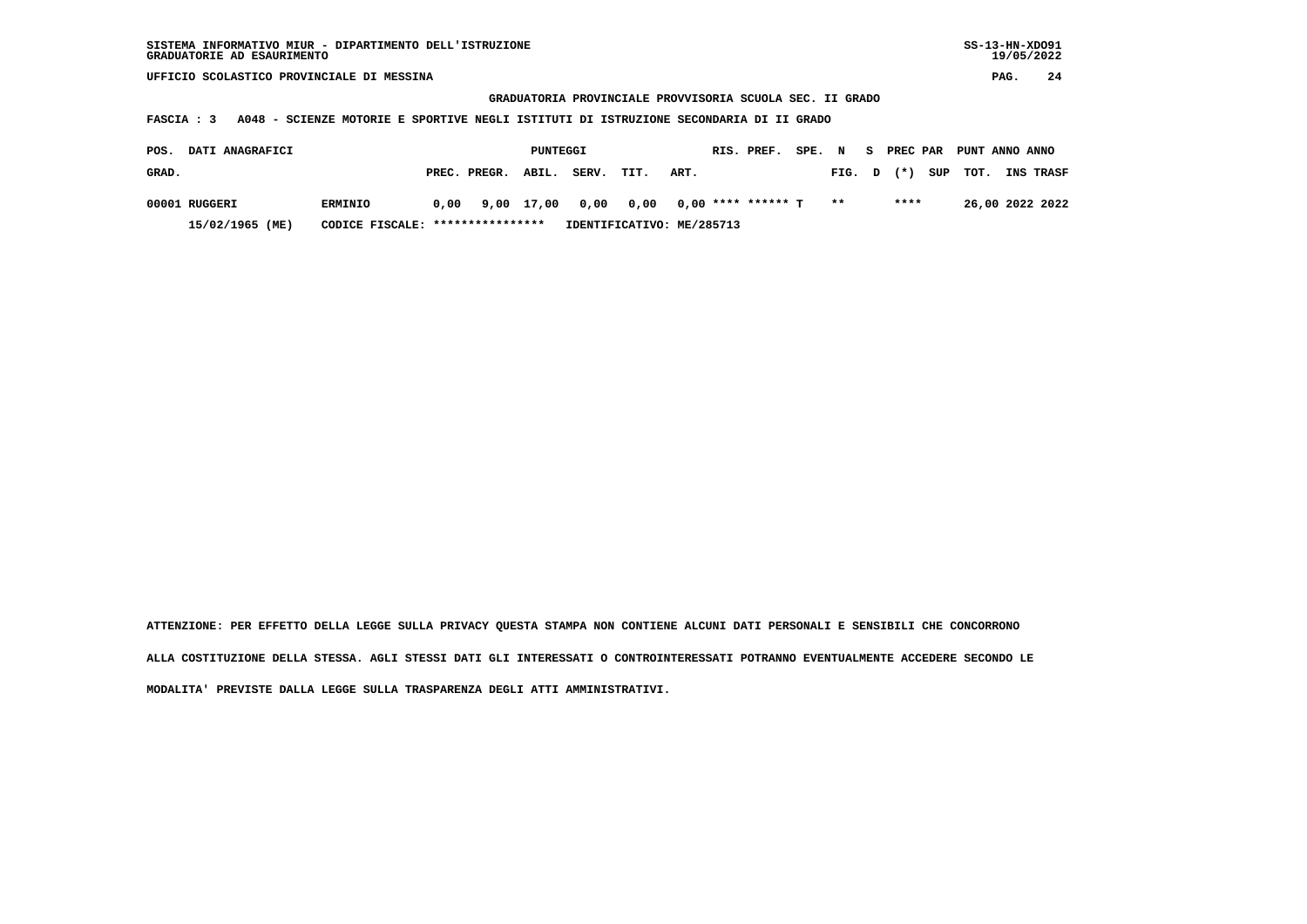#### **GRADUATORIA PROVINCIALE PROVVISORIA SCUOLA SEC. II GRADO**

 **FASCIA : 3 A048 - SCIENZE MOTORIE E SPORTIVE NEGLI ISTITUTI DI ISTRUZIONE SECONDARIA DI II GRADO**

| POS.  | <b>DATI ANAGRAFICI</b> |                                  |                    | PUNTEGGI |                                                                   |      |      | RIS. PREF. | SPE. N |        |       | S PREC PAR PUNT ANNO ANNO |                  |
|-------|------------------------|----------------------------------|--------------------|----------|-------------------------------------------------------------------|------|------|------------|--------|--------|-------|---------------------------|------------------|
| GRAD. |                        |                                  | PREC. PREGR. ABIL. |          | SERV.                                                             | TIT. | ART. |            |        | FIG. D | $(*)$ | SUP TOT.                  | <b>INS TRASF</b> |
|       | 00001 RUGGERI          | <b>ERMINIO</b>                   |                    |          | $0.00$ $9.00$ $17.00$ $0.00$ $0.00$ $0.00$ $***$ **** ****** T ** |      |      |            |        |        | ****  |                           | 26,00 2022 2022  |
|       | 15/02/1965 (ME)        | CODICE FISCALE: **************** |                    |          | IDENTIFICATIVO: ME/285713                                         |      |      |            |        |        |       |                           |                  |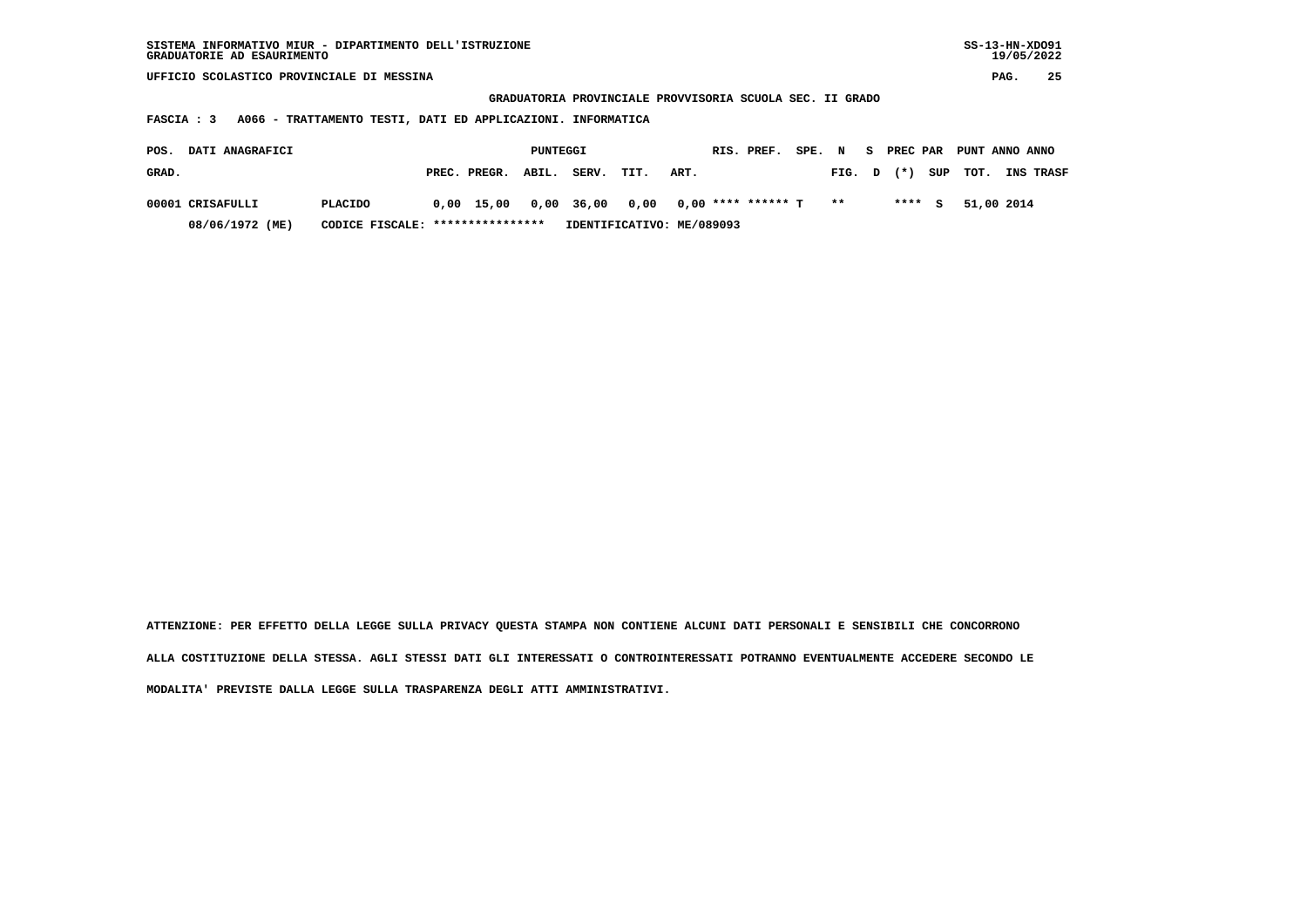| SISTEMA INFORMATIVO MIUR - DIPARTIMENTO DELL'ISTRUZIONE | SS-13-HN-XD091 |
|---------------------------------------------------------|----------------|
| GRADUATORIE AD ESAURIMENTO                              | 19/05/2022     |

 **GRADUATORIA PROVINCIALE PROVVISORIA SCUOLA SEC. II GRADO**

 **FASCIA : 3 A066 - TRATTAMENTO TESTI, DATI ED APPLICAZIONI. INFORMATICA**

| POS.  | <b>DATI ANAGRAFICI</b> |                                  |                                                      | PUNTEGGI |                           |      |      | RIS. PREF. SPE. N S PREC PAR PUNT ANNO ANNO |        |         |                    |                  |
|-------|------------------------|----------------------------------|------------------------------------------------------|----------|---------------------------|------|------|---------------------------------------------|--------|---------|--------------------|------------------|
| GRAD. |                        |                                  | PREC. PREGR. ABIL.                                   |          | SERV.                     | TIT. | ART. |                                             | FIG. D |         | $(\star)$ SUP TOT. | <b>INS TRASF</b> |
|       | 00001 CRISAFULLI       | <b>PLACIDO</b>                   | $0.00$ 15.00 $0.00$ 36.00 0.00 0.00 **** ****** T ** |          |                           |      |      |                                             |        | $***$ S | 51,00 2014         |                  |
|       | 08/06/1972 (ME)        | CODICE FISCALE: **************** |                                                      |          | IDENTIFICATIVO: ME/089093 |      |      |                                             |        |         |                    |                  |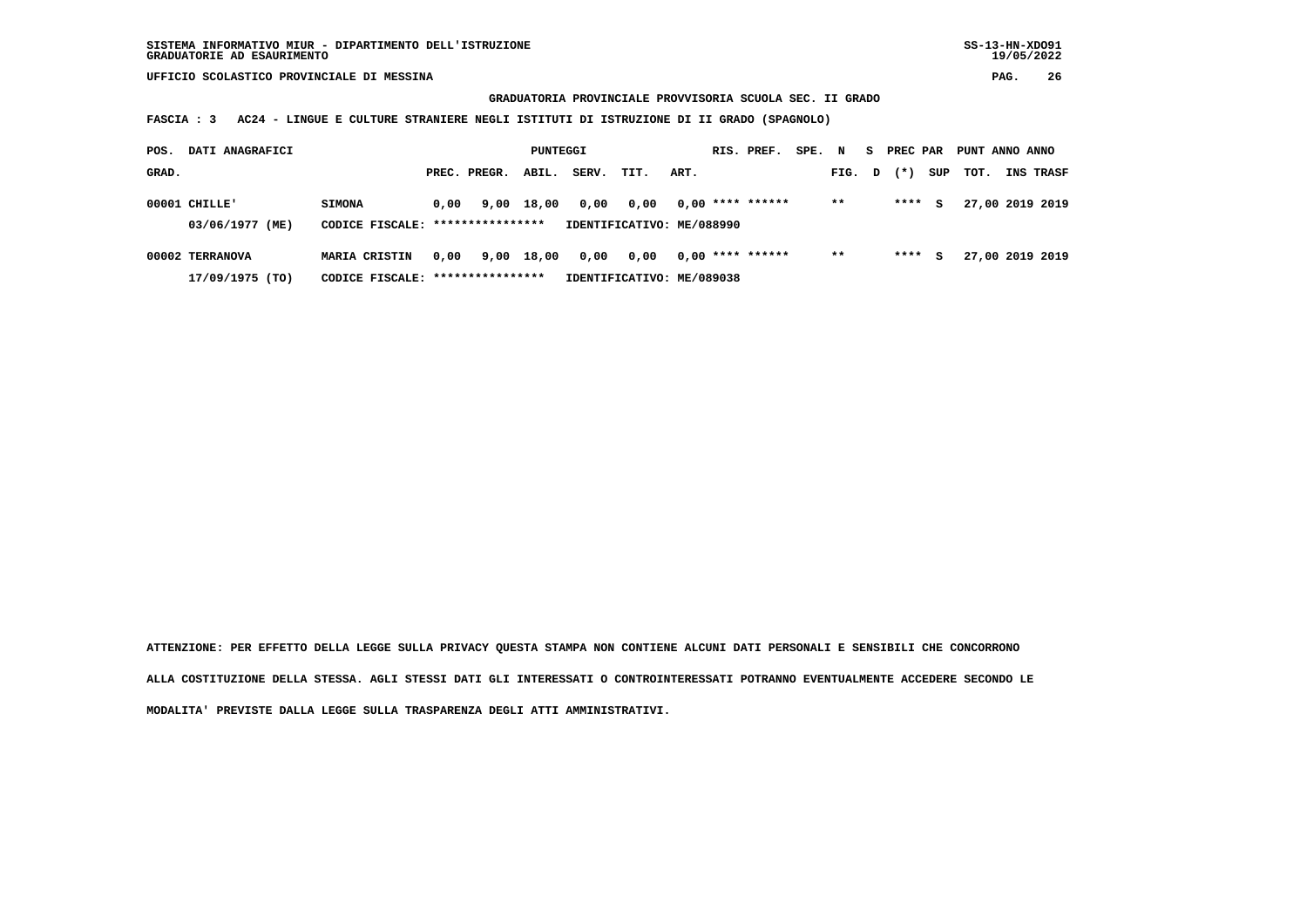**GRADUATORIA PROVINCIALE PROVVISORIA SCUOLA SEC. II GRADO**

 **FASCIA : 3 AC24 - LINGUE E CULTURE STRANIERE NEGLI ISTITUTI DI ISTRUZIONE DI II GRADO (SPAGNOLO)**

| POS.  | DATI ANAGRAFICI |                                   |      |              | PUNTEGGI   |       |                           |      | RIS. PREF.         | SPE. | N     | S. | PREC PAR |     | PUNT ANNO ANNO |                 |
|-------|-----------------|-----------------------------------|------|--------------|------------|-------|---------------------------|------|--------------------|------|-------|----|----------|-----|----------------|-----------------|
| GRAD. |                 |                                   |      | PREC. PREGR. | ABIL.      | SERV. | TIT.                      | ART. |                    |      | FIG.  | D  | $(* )$   | SUP | TOT.           | INS TRASF       |
|       | $00001$ CHILLE' | <b>SIMONA</b>                     | 0,00 |              | 9,00 18,00 | 0,00  | 0,00                      |      | $0.00$ **** ****** |      | $* *$ |    | ****     | s   |                | 27,00 2019 2019 |
|       | 03/06/1977 (ME) | CODICE FISCALE: ***************** |      |              |            |       | IDENTIFICATIVO: ME/088990 |      |                    |      |       |    |          |     |                |                 |
|       | 00002 TERRANOVA | <b>MARIA CRISTIN</b>              | 0.00 |              | 9,00 18,00 | 0,00  | 0,00                      |      | $0.00$ **** ****** |      | $* *$ |    | ****     | s   |                | 27,00 2019 2019 |
|       | 17/09/1975 (TO) | CODICE FISCALE: ****************  |      |              |            |       | IDENTIFICATIVO: ME/089038 |      |                    |      |       |    |          |     |                |                 |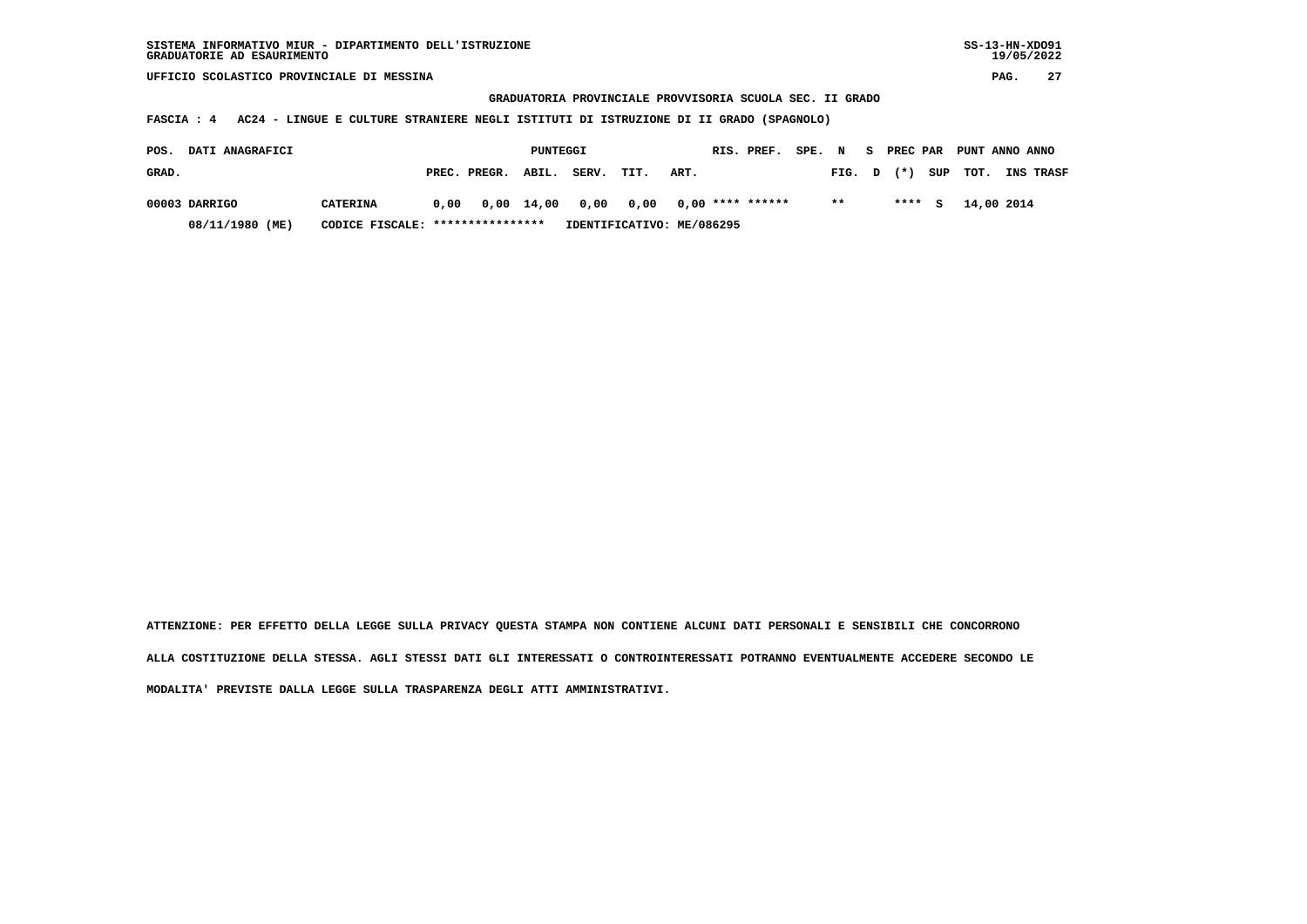**GRADUATORIA PROVINCIALE PROVVISORIA SCUOLA SEC. II GRADO**

 **FASCIA : 4 AC24 - LINGUE E CULTURE STRANIERE NEGLI ISTITUTI DI ISTRUZIONE DI II GRADO (SPAGNOLO)**

| <b>DATI ANAGRAFICI</b><br>POS. |                                  |      |                    | PUNTEGGI |       |      |                                       | RIS. PREF. | SPE. N |        | S PREC PAR |        | PUNT ANNO ANNO |                  |
|--------------------------------|----------------------------------|------|--------------------|----------|-------|------|---------------------------------------|------------|--------|--------|------------|--------|----------------|------------------|
| GRAD.                          |                                  |      | PREC. PREGR. ABIL. |          | SERV. | TIT. | ART.                                  |            |        | FIG. D | $(\star)$  |        | SUP TOT.       | <b>INS TRASF</b> |
| 00003 DARRIGO                  | <b>CATERINA</b>                  | 0.00 |                    |          |       |      | 0,00 14,00 0,00 0,00 0,00 **** ****** |            |        | $* *$  |            | $***5$ | 14,00 2014     |                  |
| 08/11/1980 (ME)                | CODICE FISCALE: **************** |      |                    |          |       |      | IDENTIFICATIVO: ME/086295             |            |        |        |            |        |                |                  |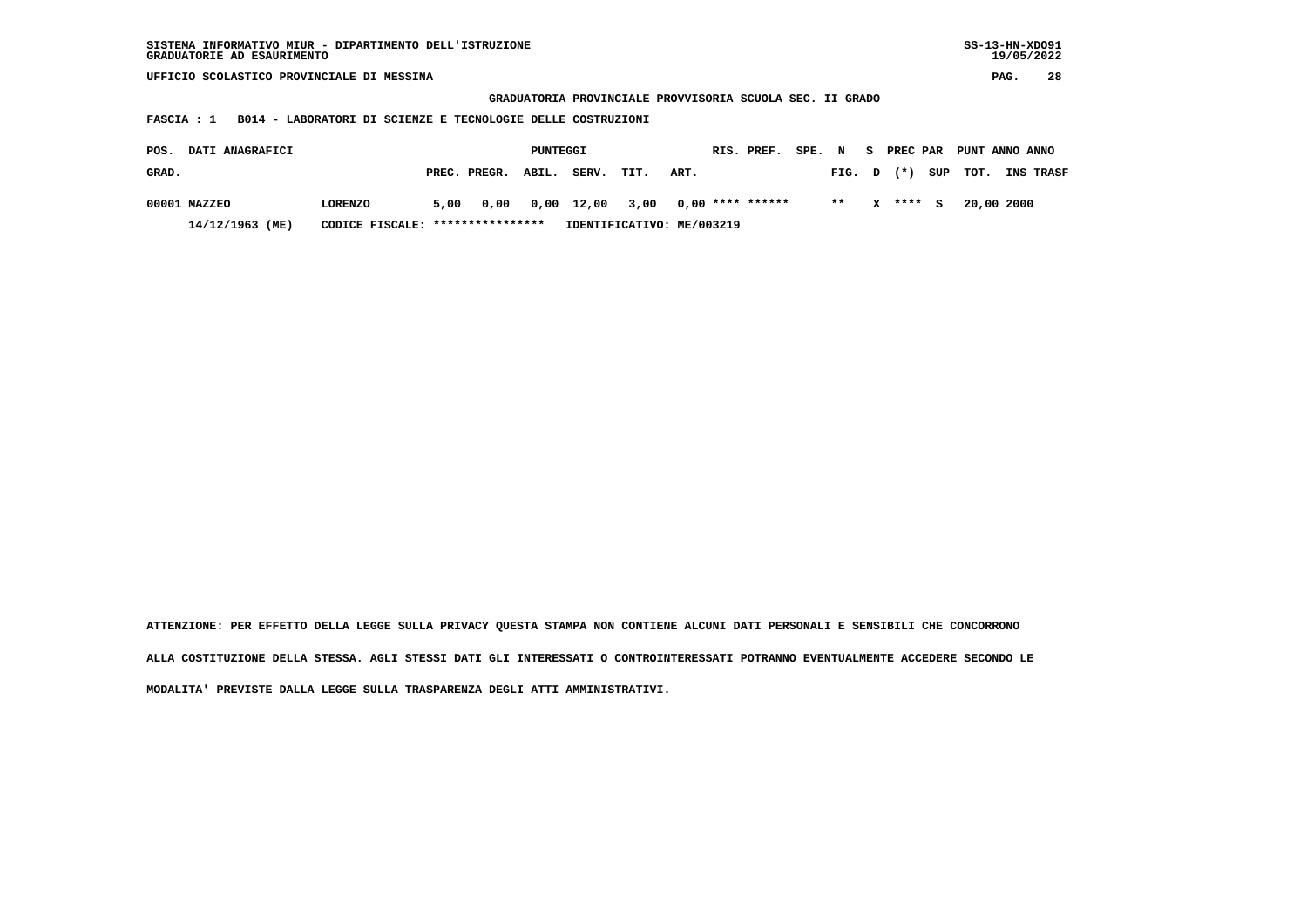| SISTEMA INFORMATIVO MIUR - DIPARTIMENTO DELL'ISTRUZIONE | SS-13-HN-XD091 |
|---------------------------------------------------------|----------------|
| GRADUATORIE AD ESAURIMENTO                              | 19/05/2022     |

 **GRADUATORIA PROVINCIALE PROVVISORIA SCUOLA SEC. II GRADO**

 **FASCIA : 1 B014 - LABORATORI DI SCIENZE E TECNOLOGIE DELLE COSTRUZIONI**

| POS.  | <b>DATI ANAGRAFICI</b> |                                  |      |                                       | PUNTEGGI |       |                           |      | RIS. PREF. | SPE. N |        |              |           | S PREC PAR PUNT ANNO ANNO |                  |
|-------|------------------------|----------------------------------|------|---------------------------------------|----------|-------|---------------------------|------|------------|--------|--------|--------------|-----------|---------------------------|------------------|
| GRAD. |                        |                                  |      | PREC. PREGR. ABIL.                    |          | SERV. | TIT.                      | ART. |            |        | FIG. D |              | $(\star)$ | SUP TOT.                  | <b>INS TRASF</b> |
|       | 00001 MAZZEO           | <b>LORENZO</b>                   | 5,00 | 0,00 0,00 12,00 3,00 0,00 **** ****** |          |       |                           |      |            |        | $***$  | $\mathbf{x}$ | $***$ S   | 20,00 2000                |                  |
|       | 14/12/1963 (ME)        | CODICE FISCALE: **************** |      |                                       |          |       | IDENTIFICATIVO: ME/003219 |      |            |        |        |              |           |                           |                  |